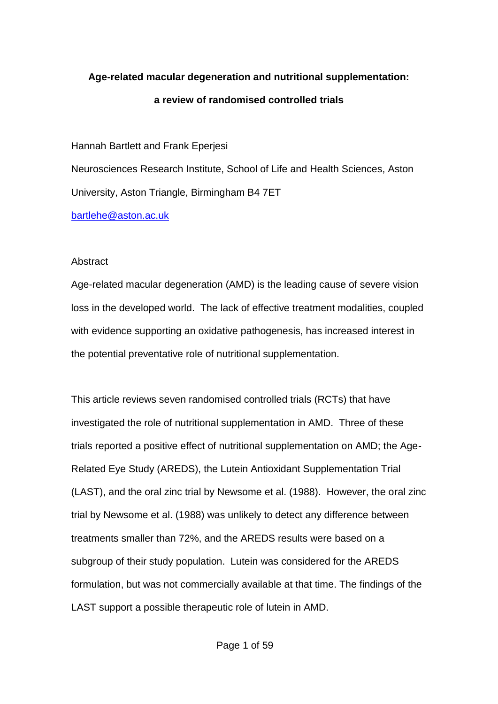# **Age-related macular degeneration and nutritional supplementation: a review of randomised controlled trials**

Hannah Bartlett and Frank Eperjesi Neurosciences Research Institute, School of Life and Health Sciences, Aston University, Aston Triangle, Birmingham B4 7ET [bartlehe@aston.ac.uk](mailto:bartlehe@aston.ac.uk)

# **Abstract**

Age-related macular degeneration (AMD) is the leading cause of severe vision loss in the developed world. The lack of effective treatment modalities, coupled with evidence supporting an oxidative pathogenesis, has increased interest in the potential preventative role of nutritional supplementation.

This article reviews seven randomised controlled trials (RCTs) that have investigated the role of nutritional supplementation in AMD. Three of these trials reported a positive effect of nutritional supplementation on AMD; the Age-Related Eye Study (AREDS), the Lutein Antioxidant Supplementation Trial (LAST), and the oral zinc trial by Newsome et al. (1988). However, the oral zinc trial by Newsome et al. (1988) was unlikely to detect any difference between treatments smaller than 72%, and the AREDS results were based on a subgroup of their study population. Lutein was considered for the AREDS formulation, but was not commercially available at that time. The findings of the LAST support a possible therapeutic role of lutein in AMD.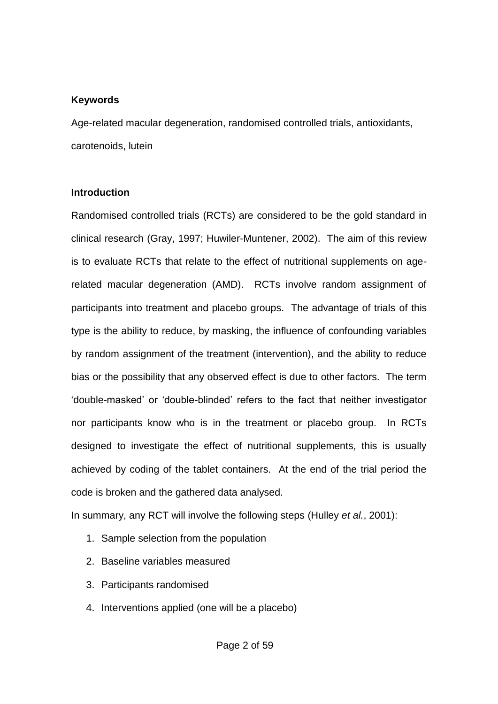## **Keywords**

Age-related macular degeneration, randomised controlled trials, antioxidants, carotenoids, lutein

## **Introduction**

Randomised controlled trials (RCTs) are considered to be the gold standard in clinical research (Gray, 1997; Huwiler-Muntener, 2002). The aim of this review is to evaluate RCTs that relate to the effect of nutritional supplements on agerelated macular degeneration (AMD). RCTs involve random assignment of participants into treatment and placebo groups. The advantage of trials of this type is the ability to reduce, by masking, the influence of confounding variables by random assignment of the treatment (intervention), and the ability to reduce bias or the possibility that any observed effect is due to other factors. The term 'double-masked' or 'double-blinded' refers to the fact that neither investigator nor participants know who is in the treatment or placebo group. In RCTs designed to investigate the effect of nutritional supplements, this is usually achieved by coding of the tablet containers. At the end of the trial period the code is broken and the gathered data analysed.

In summary, any RCT will involve the following steps (Hulley *et al.*, 2001):

- 1. Sample selection from the population
- 2. Baseline variables measured
- 3. Participants randomised
- 4. Interventions applied (one will be a placebo)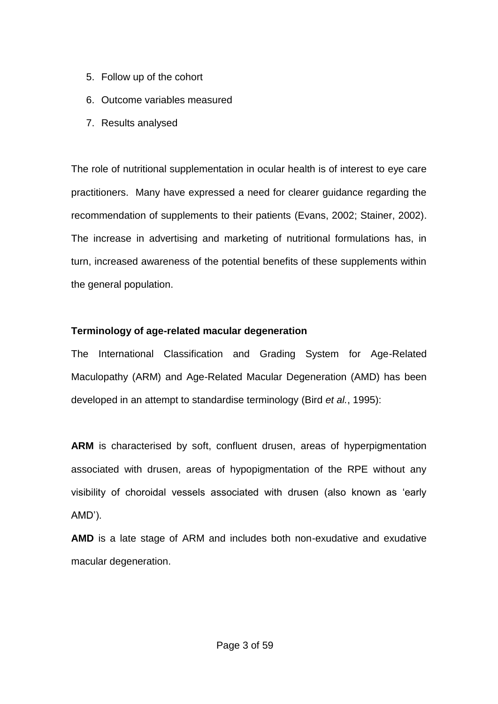- 5. Follow up of the cohort
- 6. Outcome variables measured
- 7. Results analysed

The role of nutritional supplementation in ocular health is of interest to eye care practitioners. Many have expressed a need for clearer guidance regarding the recommendation of supplements to their patients (Evans, 2002; Stainer, 2002). The increase in advertising and marketing of nutritional formulations has, in turn, increased awareness of the potential benefits of these supplements within the general population.

# **Terminology of age-related macular degeneration**

The International Classification and Grading System for Age-Related Maculopathy (ARM) and Age-Related Macular Degeneration (AMD) has been developed in an attempt to standardise terminology (Bird *et al.*, 1995):

**ARM** is characterised by soft, confluent drusen, areas of hyperpigmentation associated with drusen, areas of hypopigmentation of the RPE without any visibility of choroidal vessels associated with drusen (also known as 'early AMD').

**AMD** is a late stage of ARM and includes both non-exudative and exudative macular degeneration.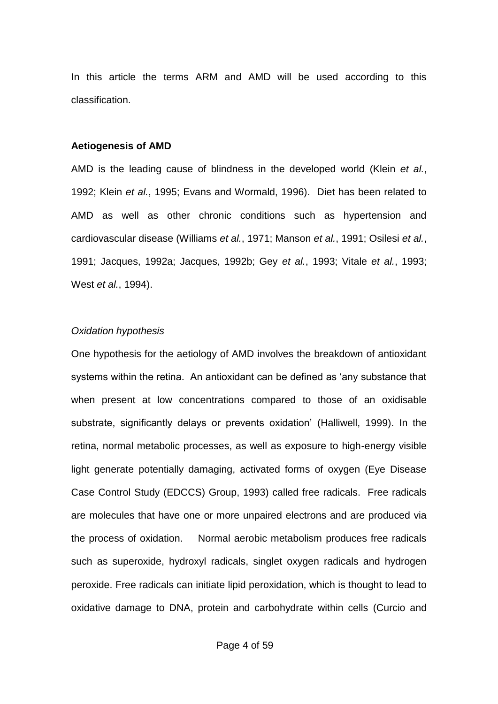In this article the terms ARM and AMD will be used according to this classification.

#### **Aetiogenesis of AMD**

AMD is the leading cause of blindness in the developed world (Klein *et al.*, 1992; Klein *et al.*, 1995; Evans and Wormald, 1996). Diet has been related to AMD as well as other chronic conditions such as hypertension and cardiovascular disease (Williams *et al.*, 1971; Manson *et al.*, 1991; Osilesi *et al.*, 1991; Jacques, 1992a; Jacques, 1992b; Gey *et al.*, 1993; Vitale *et al.*, 1993; West *et al.*, 1994).

#### *Oxidation hypothesis*

One hypothesis for the aetiology of AMD involves the breakdown of antioxidant systems within the retina. An antioxidant can be defined as 'any substance that when present at low concentrations compared to those of an oxidisable substrate, significantly delays or prevents oxidation' (Halliwell, 1999). In the retina, normal metabolic processes, as well as exposure to high-energy visible light generate potentially damaging, activated forms of oxygen (Eye Disease Case Control Study (EDCCS) Group, 1993) called free radicals. Free radicals are molecules that have one or more unpaired electrons and are produced via the process of oxidation. Normal aerobic metabolism produces free radicals such as superoxide, hydroxyl radicals, singlet oxygen radicals and hydrogen peroxide. Free radicals can initiate lipid peroxidation, which is thought to lead to oxidative damage to DNA, protein and carbohydrate within cells (Curcio and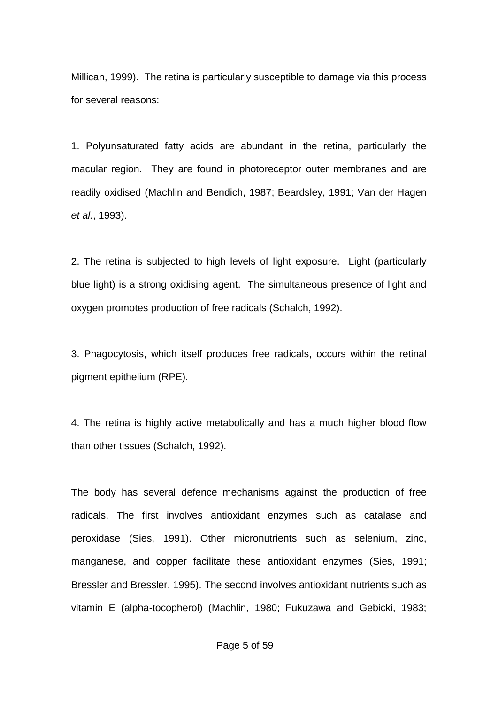Millican, 1999). The retina is particularly susceptible to damage via this process for several reasons:

1. Polyunsaturated fatty acids are abundant in the retina, particularly the macular region. They are found in photoreceptor outer membranes and are readily oxidised (Machlin and Bendich, 1987; Beardsley, 1991; Van der Hagen *et al.*, 1993).

2. The retina is subjected to high levels of light exposure. Light (particularly blue light) is a strong oxidising agent. The simultaneous presence of light and oxygen promotes production of free radicals (Schalch, 1992).

3. Phagocytosis, which itself produces free radicals, occurs within the retinal pigment epithelium (RPE).

4. The retina is highly active metabolically and has a much higher blood flow than other tissues (Schalch, 1992).

The body has several defence mechanisms against the production of free radicals. The first involves antioxidant enzymes such as catalase and peroxidase (Sies, 1991). Other micronutrients such as selenium, zinc, manganese, and copper facilitate these antioxidant enzymes (Sies, 1991; Bressler and Bressler, 1995). The second involves antioxidant nutrients such as vitamin E (alpha-tocopherol) (Machlin, 1980; Fukuzawa and Gebicki, 1983;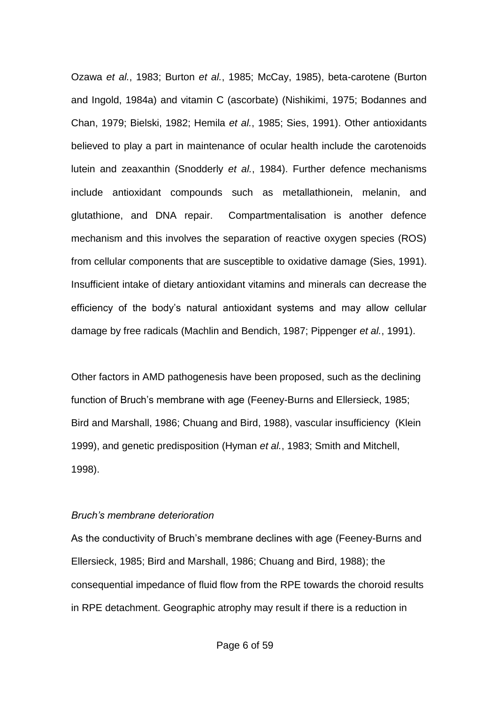Ozawa *et al.*, 1983; Burton *et al.*, 1985; McCay, 1985), beta-carotene (Burton and Ingold, 1984a) and vitamin C (ascorbate) (Nishikimi, 1975; Bodannes and Chan, 1979; Bielski, 1982; Hemila *et al.*, 1985; Sies, 1991). Other antioxidants believed to play a part in maintenance of ocular health include the carotenoids lutein and zeaxanthin (Snodderly *et al.*, 1984). Further defence mechanisms include antioxidant compounds such as metallathionein, melanin, and glutathione, and DNA repair. Compartmentalisation is another defence mechanism and this involves the separation of reactive oxygen species (ROS) from cellular components that are susceptible to oxidative damage (Sies, 1991). Insufficient intake of dietary antioxidant vitamins and minerals can decrease the efficiency of the body's natural antioxidant systems and may allow cellular damage by free radicals (Machlin and Bendich, 1987; Pippenger *et al.*, 1991).

Other factors in AMD pathogenesis have been proposed, such as the declining function of Bruch's membrane with age (Feeney-Burns and Ellersieck, 1985; Bird and Marshall, 1986; Chuang and Bird, 1988), vascular insufficiency (Klein 1999), and genetic predisposition (Hyman *et al.*, 1983; Smith and Mitchell, 1998).

#### *Bruch's membrane deterioration*

As the conductivity of Bruch's membrane declines with age (Feeney-Burns and Ellersieck, 1985; Bird and Marshall, 1986; Chuang and Bird, 1988); the consequential impedance of fluid flow from the RPE towards the choroid results in RPE detachment. Geographic atrophy may result if there is a reduction in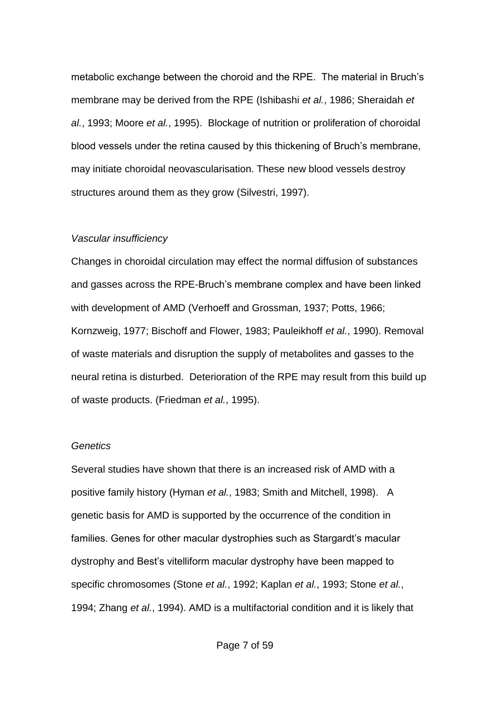metabolic exchange between the choroid and the RPE. The material in Bruch's membrane may be derived from the RPE (Ishibashi *et al.*, 1986; Sheraidah *et al.*, 1993; Moore *et al.*, 1995). Blockage of nutrition or proliferation of choroidal blood vessels under the retina caused by this thickening of Bruch's membrane, may initiate choroidal neovascularisation. These new blood vessels destroy structures around them as they grow (Silvestri, 1997).

## *Vascular insufficiency*

Changes in choroidal circulation may effect the normal diffusion of substances and gasses across the RPE-Bruch's membrane complex and have been linked with development of AMD (Verhoeff and Grossman, 1937; Potts, 1966; Kornzweig, 1977; Bischoff and Flower, 1983; Pauleikhoff *et al.*, 1990). Removal of waste materials and disruption the supply of metabolites and gasses to the neural retina is disturbed. Deterioration of the RPE may result from this build up of waste products. (Friedman *et al.*, 1995).

#### *Genetics*

Several studies have shown that there is an increased risk of AMD with a positive family history (Hyman *et al.*, 1983; Smith and Mitchell, 1998). A genetic basis for AMD is supported by the occurrence of the condition in families. Genes for other macular dystrophies such as Stargardt's macular dystrophy and Best's vitelliform macular dystrophy have been mapped to specific chromosomes (Stone *et al.*, 1992; Kaplan *et al.*, 1993; Stone *et al.*, 1994; Zhang *et al.*, 1994). AMD is a multifactorial condition and it is likely that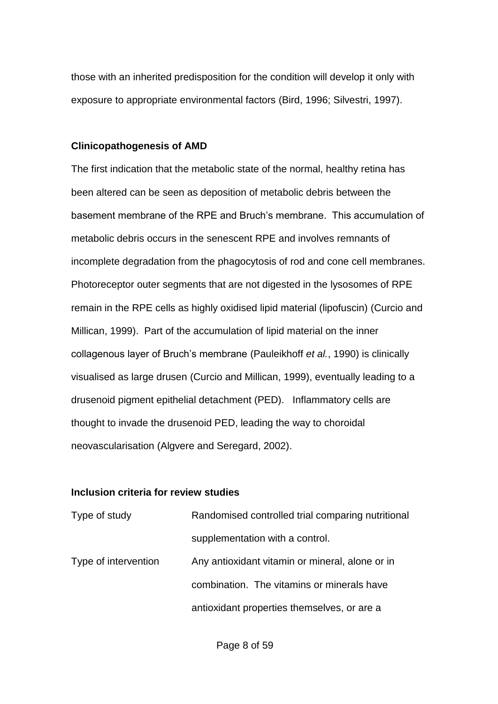those with an inherited predisposition for the condition will develop it only with exposure to appropriate environmental factors (Bird, 1996; Silvestri, 1997).

#### **Clinicopathogenesis of AMD**

The first indication that the metabolic state of the normal, healthy retina has been altered can be seen as deposition of metabolic debris between the basement membrane of the RPE and Bruch's membrane. This accumulation of metabolic debris occurs in the senescent RPE and involves remnants of incomplete degradation from the phagocytosis of rod and cone cell membranes. Photoreceptor outer segments that are not digested in the lysosomes of RPE remain in the RPE cells as highly oxidised lipid material (lipofuscin) (Curcio and Millican, 1999). Part of the accumulation of lipid material on the inner collagenous layer of Bruch's membrane (Pauleikhoff *et al.*, 1990) is clinically visualised as large drusen (Curcio and Millican, 1999), eventually leading to a drusenoid pigment epithelial detachment (PED). Inflammatory cells are thought to invade the drusenoid PED, leading the way to choroidal neovascularisation (Algvere and Seregard, 2002).

# **Inclusion criteria for review studies**

| Type of study        | Randomised controlled trial comparing nutritional |
|----------------------|---------------------------------------------------|
|                      | supplementation with a control.                   |
| Type of intervention | Any antioxidant vitamin or mineral, alone or in   |
|                      | combination. The vitamins or minerals have        |
|                      | antioxidant properties themselves, or are a       |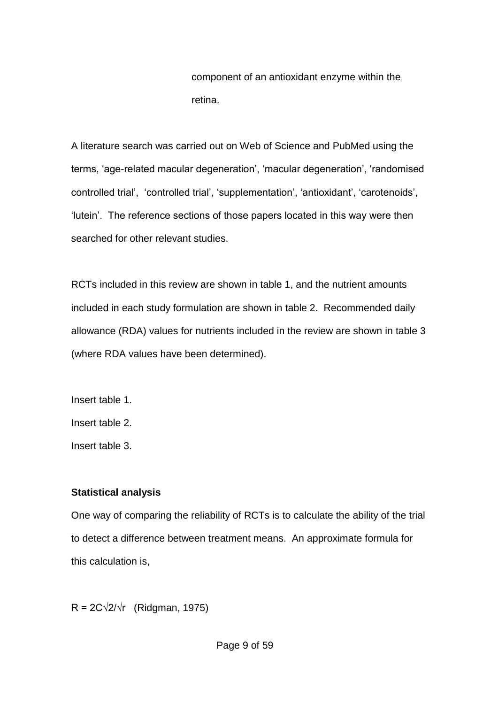component of an antioxidant enzyme within the retina.

A literature search was carried out on Web of Science and PubMed using the terms, 'age-related macular degeneration', 'macular degeneration', 'randomised controlled trial', 'controlled trial', 'supplementation', 'antioxidant', 'carotenoids', 'lutein'. The reference sections of those papers located in this way were then searched for other relevant studies.

RCTs included in this review are shown in table 1, and the nutrient amounts included in each study formulation are shown in table 2. Recommended daily allowance (RDA) values for nutrients included in the review are shown in table 3 (where RDA values have been determined).

Insert table 1. Insert table 2. Insert table 3.

# **Statistical analysis**

One way of comparing the reliability of RCTs is to calculate the ability of the trial to detect a difference between treatment means. An approximate formula for this calculation is,

 $R = 2C\sqrt{2}/\sqrt{r}$  (Ridgman, 1975)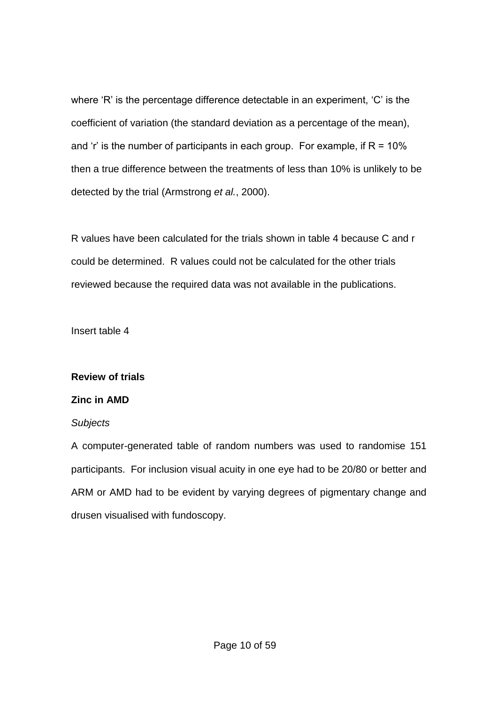where 'R' is the percentage difference detectable in an experiment, 'C' is the coefficient of variation (the standard deviation as a percentage of the mean), and 'r' is the number of participants in each group. For example, if  $R = 10\%$ then a true difference between the treatments of less than 10% is unlikely to be detected by the trial (Armstrong *et al.*, 2000).

R values have been calculated for the trials shown in table 4 because C and r could be determined. R values could not be calculated for the other trials reviewed because the required data was not available in the publications.

Insert table 4

# **Review of trials**

# **Zinc in AMD**

# *Subjects*

A computer-generated table of random numbers was used to randomise 151 participants. For inclusion visual acuity in one eye had to be 20/80 or better and ARM or AMD had to be evident by varying degrees of pigmentary change and drusen visualised with fundoscopy.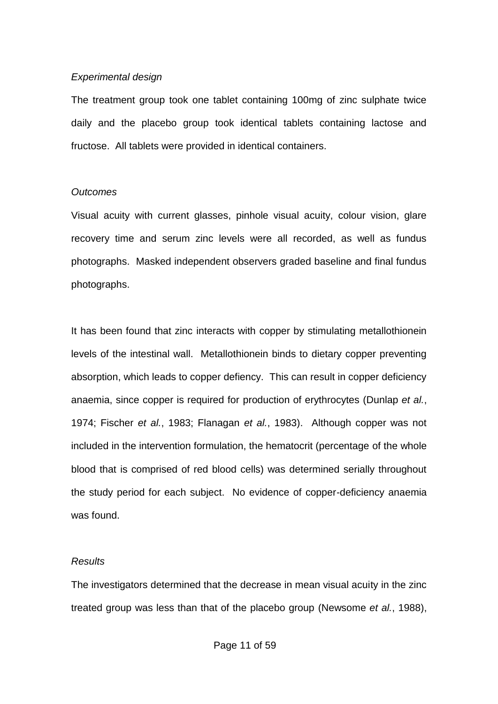# *Experimental design*

The treatment group took one tablet containing 100mg of zinc sulphate twice daily and the placebo group took identical tablets containing lactose and fructose. All tablets were provided in identical containers.

# *Outcomes*

Visual acuity with current glasses, pinhole visual acuity, colour vision, glare recovery time and serum zinc levels were all recorded, as well as fundus photographs. Masked independent observers graded baseline and final fundus photographs.

It has been found that zinc interacts with copper by stimulating metallothionein levels of the intestinal wall. Metallothionein binds to dietary copper preventing absorption, which leads to copper defiency. This can result in copper deficiency anaemia, since copper is required for production of erythrocytes (Dunlap *et al.*, 1974; Fischer *et al.*, 1983; Flanagan *et al.*, 1983). Although copper was not included in the intervention formulation, the hematocrit (percentage of the whole blood that is comprised of red blood cells) was determined serially throughout the study period for each subject. No evidence of copper-deficiency anaemia was found.

# *Results*

The investigators determined that the decrease in mean visual acuity in the zinc treated group was less than that of the placebo group (Newsome *et al.*, 1988),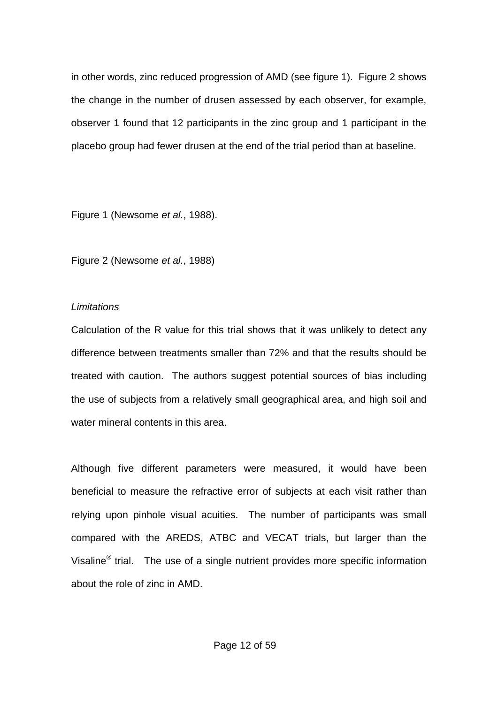in other words, zinc reduced progression of AMD (see figure 1). Figure 2 shows the change in the number of drusen assessed by each observer, for example, observer 1 found that 12 participants in the zinc group and 1 participant in the placebo group had fewer drusen at the end of the trial period than at baseline.

Figure 1 (Newsome *et al.*, 1988).

Figure 2 (Newsome *et al.*, 1988)

# *Limitations*

Calculation of the R value for this trial shows that it was unlikely to detect any difference between treatments smaller than 72% and that the results should be treated with caution. The authors suggest potential sources of bias including the use of subjects from a relatively small geographical area, and high soil and water mineral contents in this area.

Although five different parameters were measured, it would have been beneficial to measure the refractive error of subjects at each visit rather than relying upon pinhole visual acuities. The number of participants was small compared with the AREDS, ATBC and VECAT trials, but larger than the Visaline<sup>®</sup> trial. The use of a single nutrient provides more specific information about the role of zinc in AMD.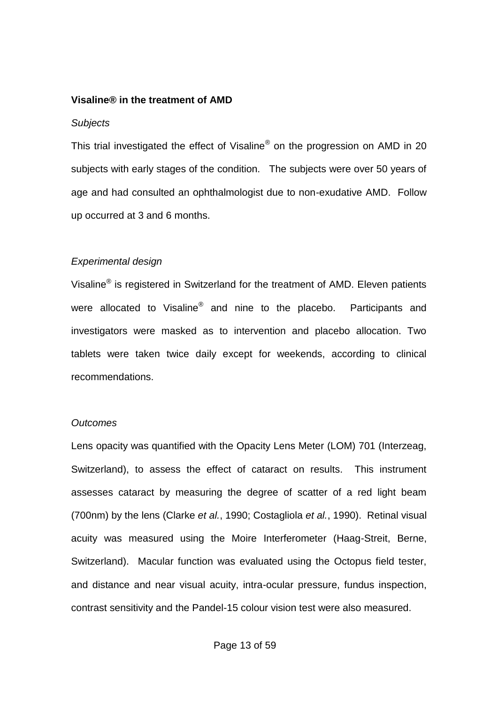#### **Visaline® in the treatment of AMD**

#### *Subjects*

This trial investigated the effect of Visaline® on the progression on AMD in 20 subjects with early stages of the condition. The subjects were over 50 years of age and had consulted an ophthalmologist due to non-exudative AMD. Follow up occurred at 3 and 6 months.

## *Experimental design*

Visaline<sup>®</sup> is registered in Switzerland for the treatment of AMD. Eleven patients were allocated to Visaline<sup>®</sup> and nine to the placebo. Participants and investigators were masked as to intervention and placebo allocation. Two tablets were taken twice daily except for weekends, according to clinical recommendations.

#### *Outcomes*

Lens opacity was quantified with the Opacity Lens Meter (LOM) 701 (Interzeag, Switzerland), to assess the effect of cataract on results. This instrument assesses cataract by measuring the degree of scatter of a red light beam (700nm) by the lens (Clarke *et al.*, 1990; Costagliola *et al.*, 1990). Retinal visual acuity was measured using the Moire Interferometer (Haag-Streit, Berne, Switzerland). Macular function was evaluated using the Octopus field tester, and distance and near visual acuity, intra-ocular pressure, fundus inspection, contrast sensitivity and the Pandel-15 colour vision test were also measured.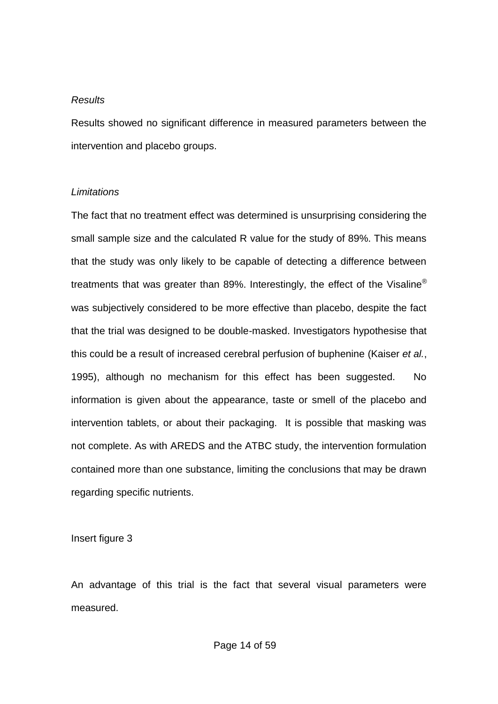#### *Results*

Results showed no significant difference in measured parameters between the intervention and placebo groups.

#### *Limitations*

The fact that no treatment effect was determined is unsurprising considering the small sample size and the calculated R value for the study of 89%. This means that the study was only likely to be capable of detecting a difference between treatments that was greater than 89%. Interestingly, the effect of the Visaline<sup>®</sup> was subjectively considered to be more effective than placebo, despite the fact that the trial was designed to be double-masked. Investigators hypothesise that this could be a result of increased cerebral perfusion of buphenine (Kaiser *et al.*, 1995), although no mechanism for this effect has been suggested. No information is given about the appearance, taste or smell of the placebo and intervention tablets, or about their packaging. It is possible that masking was not complete. As with AREDS and the ATBC study, the intervention formulation contained more than one substance, limiting the conclusions that may be drawn regarding specific nutrients.

Insert figure 3

An advantage of this trial is the fact that several visual parameters were measured.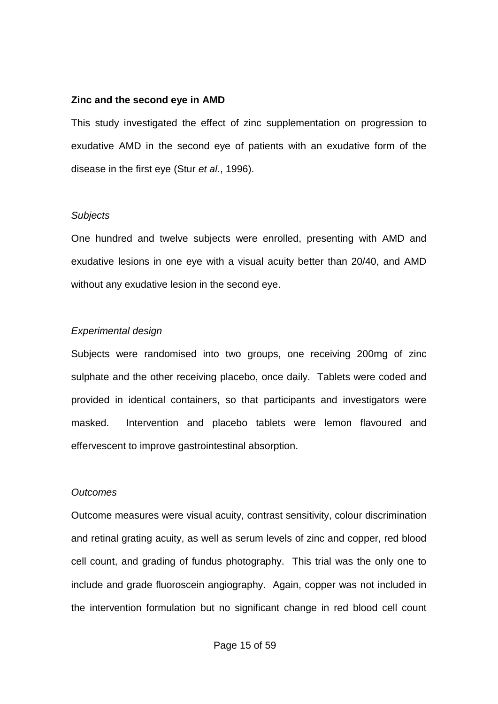#### **Zinc and the second eye in AMD**

This study investigated the effect of zinc supplementation on progression to exudative AMD in the second eye of patients with an exudative form of the disease in the first eye (Stur *et al.*, 1996).

## *Subjects*

One hundred and twelve subjects were enrolled, presenting with AMD and exudative lesions in one eye with a visual acuity better than 20/40, and AMD without any exudative lesion in the second eye.

# *Experimental design*

Subjects were randomised into two groups, one receiving 200mg of zinc sulphate and the other receiving placebo, once daily. Tablets were coded and provided in identical containers, so that participants and investigators were masked. Intervention and placebo tablets were lemon flavoured and effervescent to improve gastrointestinal absorption.

# *Outcomes*

Outcome measures were visual acuity, contrast sensitivity, colour discrimination and retinal grating acuity, as well as serum levels of zinc and copper, red blood cell count, and grading of fundus photography. This trial was the only one to include and grade fluoroscein angiography. Again, copper was not included in the intervention formulation but no significant change in red blood cell count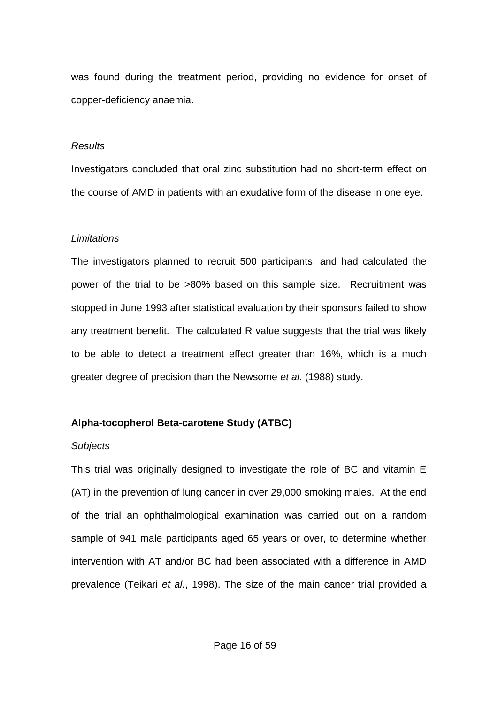was found during the treatment period, providing no evidence for onset of copper-deficiency anaemia.

#### *Results*

Investigators concluded that oral zinc substitution had no short-term effect on the course of AMD in patients with an exudative form of the disease in one eye.

# *Limitations*

The investigators planned to recruit 500 participants, and had calculated the power of the trial to be >80% based on this sample size. Recruitment was stopped in June 1993 after statistical evaluation by their sponsors failed to show any treatment benefit. The calculated R value suggests that the trial was likely to be able to detect a treatment effect greater than 16%, which is a much greater degree of precision than the Newsome *et al*. (1988) study.

# **Alpha-tocopherol Beta-carotene Study (ATBC)**

# *Subjects*

This trial was originally designed to investigate the role of BC and vitamin E (AT) in the prevention of lung cancer in over 29,000 smoking males. At the end of the trial an ophthalmological examination was carried out on a random sample of 941 male participants aged 65 years or over, to determine whether intervention with AT and/or BC had been associated with a difference in AMD prevalence (Teikari *et al.*, 1998). The size of the main cancer trial provided a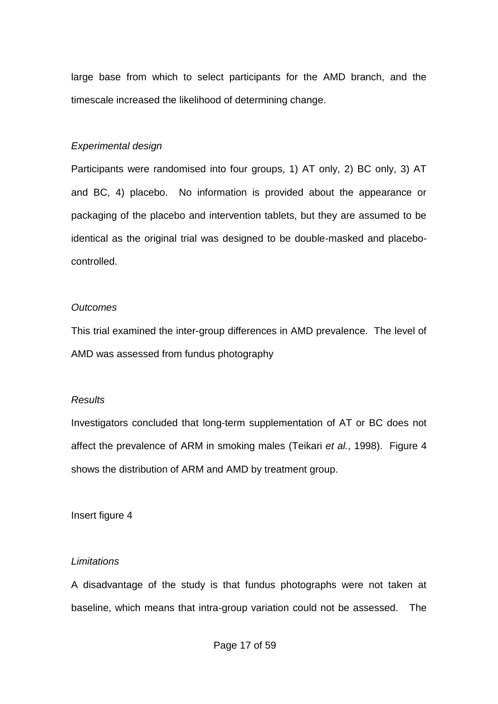large base from which to select participants for the AMD branch, and the timescale increased the likelihood of determining change.

# *Experimental design*

Participants were randomised into four groups, 1) AT only, 2) BC only, 3) AT and BC, 4) placebo. No information is provided about the appearance or packaging of the placebo and intervention tablets, but they are assumed to be identical as the original trial was designed to be double-masked and placebocontrolled.

# *Outcomes*

This trial examined the inter-group differences in AMD prevalence. The level of AMD was assessed from fundus photography

# *Results*

Investigators concluded that long-term supplementation of AT or BC does not affect the prevalence of ARM in smoking males (Teikari *et al.*, 1998). Figure 4 shows the distribution of ARM and AMD by treatment group.

Insert figure 4

# *Limitations*

A disadvantage of the study is that fundus photographs were not taken at baseline, which means that intra-group variation could not be assessed. The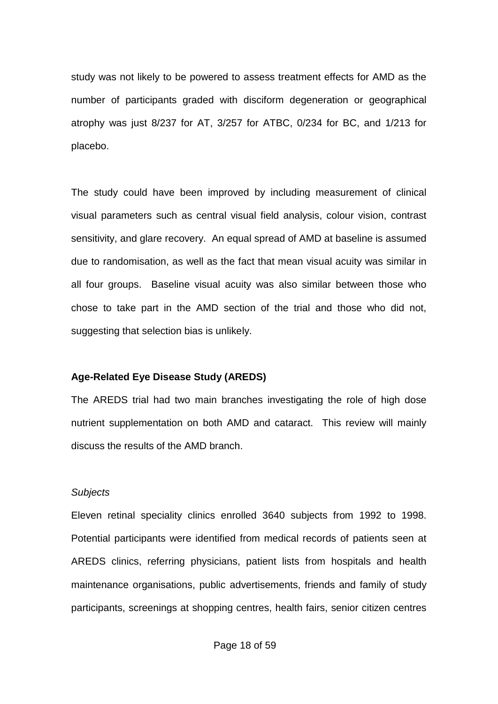study was not likely to be powered to assess treatment effects for AMD as the number of participants graded with disciform degeneration or geographical atrophy was just 8/237 for AT, 3/257 for ATBC, 0/234 for BC, and 1/213 for placebo.

The study could have been improved by including measurement of clinical visual parameters such as central visual field analysis, colour vision, contrast sensitivity, and glare recovery. An equal spread of AMD at baseline is assumed due to randomisation, as well as the fact that mean visual acuity was similar in all four groups. Baseline visual acuity was also similar between those who chose to take part in the AMD section of the trial and those who did not, suggesting that selection bias is unlikely.

# **Age-Related Eye Disease Study (AREDS)**

The AREDS trial had two main branches investigating the role of high dose nutrient supplementation on both AMD and cataract. This review will mainly discuss the results of the AMD branch.

#### *Subjects*

Eleven retinal speciality clinics enrolled 3640 subjects from 1992 to 1998. Potential participants were identified from medical records of patients seen at AREDS clinics, referring physicians, patient lists from hospitals and health maintenance organisations, public advertisements, friends and family of study participants, screenings at shopping centres, health fairs, senior citizen centres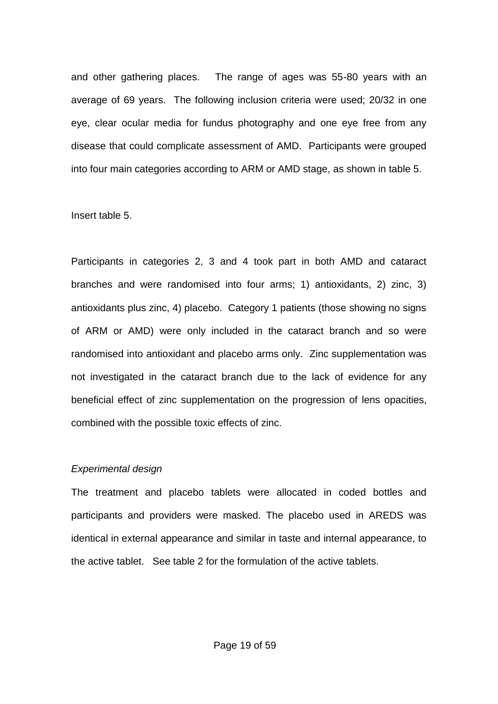and other gathering places. The range of ages was 55-80 years with an average of 69 years. The following inclusion criteria were used; 20/32 in one eye, clear ocular media for fundus photography and one eye free from any disease that could complicate assessment of AMD. Participants were grouped into four main categories according to ARM or AMD stage, as shown in table 5.

## Insert table 5.

Participants in categories 2, 3 and 4 took part in both AMD and cataract branches and were randomised into four arms; 1) antioxidants, 2) zinc, 3) antioxidants plus zinc, 4) placebo. Category 1 patients (those showing no signs of ARM or AMD) were only included in the cataract branch and so were randomised into antioxidant and placebo arms only. Zinc supplementation was not investigated in the cataract branch due to the lack of evidence for any beneficial effect of zinc supplementation on the progression of lens opacities, combined with the possible toxic effects of zinc.

# *Experimental design*

The treatment and placebo tablets were allocated in coded bottles and participants and providers were masked. The placebo used in AREDS was identical in external appearance and similar in taste and internal appearance, to the active tablet. See table 2 for the formulation of the active tablets.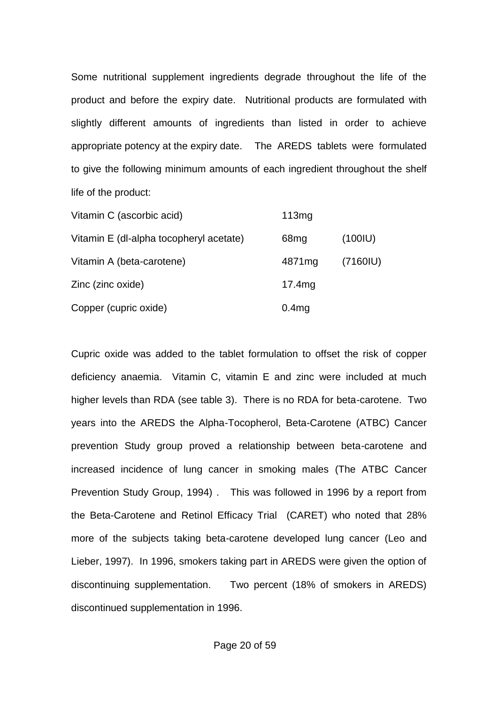Some nutritional supplement ingredients degrade throughout the life of the product and before the expiry date. Nutritional products are formulated with slightly different amounts of ingredients than listed in order to achieve appropriate potency at the expiry date. The AREDS tablets were formulated to give the following minimum amounts of each ingredient throughout the shelf life of the product:

| Vitamin C (ascorbic acid)               | 113mg            |         |
|-----------------------------------------|------------------|---------|
| Vitamin E (dl-alpha tocopheryl acetate) | 68 <sub>mg</sub> | (100IU) |
| Vitamin A (beta-carotene)               | 4871mg           | (7160I) |
| Zinc (zinc oxide)                       | 17.4mg           |         |
| Copper (cupric oxide)                   | 0.4mg            |         |

Cupric oxide was added to the tablet formulation to offset the risk of copper deficiency anaemia. Vitamin C, vitamin E and zinc were included at much higher levels than RDA (see table 3). There is no RDA for beta-carotene. Two years into the AREDS the Alpha-Tocopherol, Beta-Carotene (ATBC) Cancer prevention Study group proved a relationship between beta-carotene and increased incidence of lung cancer in smoking males (The ATBC Cancer Prevention Study Group, 1994) . This was followed in 1996 by a report from the Beta-Carotene and Retinol Efficacy Trial (CARET) who noted that 28% more of the subjects taking beta-carotene developed lung cancer (Leo and Lieber, 1997). In 1996, smokers taking part in AREDS were given the option of discontinuing supplementation. Two percent (18% of smokers in AREDS) discontinued supplementation in 1996.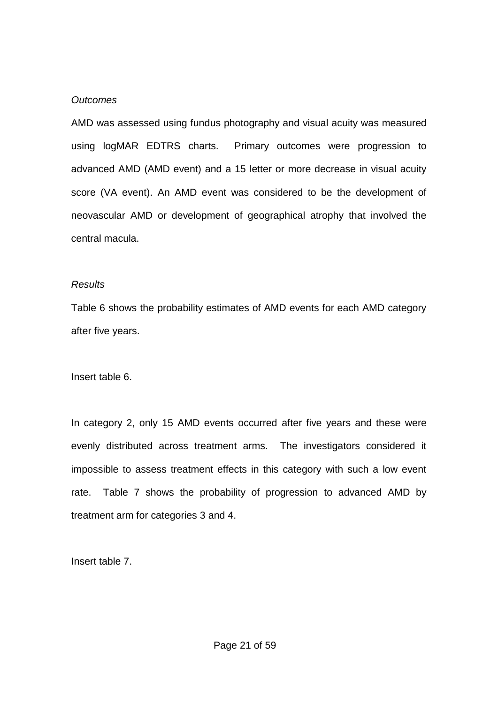#### *Outcomes*

AMD was assessed using fundus photography and visual acuity was measured using logMAR EDTRS charts. Primary outcomes were progression to advanced AMD (AMD event) and a 15 letter or more decrease in visual acuity score (VA event). An AMD event was considered to be the development of neovascular AMD or development of geographical atrophy that involved the central macula.

#### *Results*

Table 6 shows the probability estimates of AMD events for each AMD category after five years.

Insert table 6.

In category 2, only 15 AMD events occurred after five years and these were evenly distributed across treatment arms. The investigators considered it impossible to assess treatment effects in this category with such a low event rate. Table 7 shows the probability of progression to advanced AMD by treatment arm for categories 3 and 4.

Insert table 7.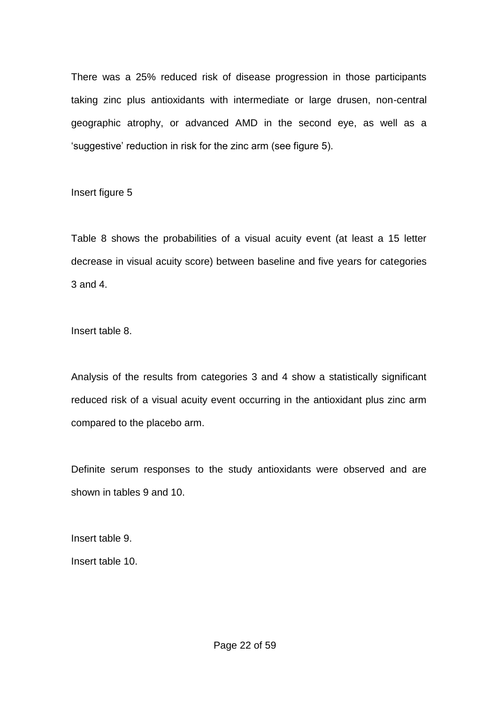There was a 25% reduced risk of disease progression in those participants taking zinc plus antioxidants with intermediate or large drusen, non-central geographic atrophy, or advanced AMD in the second eye, as well as a 'suggestive' reduction in risk for the zinc arm (see figure 5).

Insert figure 5

Table 8 shows the probabilities of a visual acuity event (at least a 15 letter decrease in visual acuity score) between baseline and five years for categories 3 and 4.

Insert table 8.

Analysis of the results from categories 3 and 4 show a statistically significant reduced risk of a visual acuity event occurring in the antioxidant plus zinc arm compared to the placebo arm.

Definite serum responses to the study antioxidants were observed and are shown in tables 9 and 10.

Insert table 9.

Insert table 10.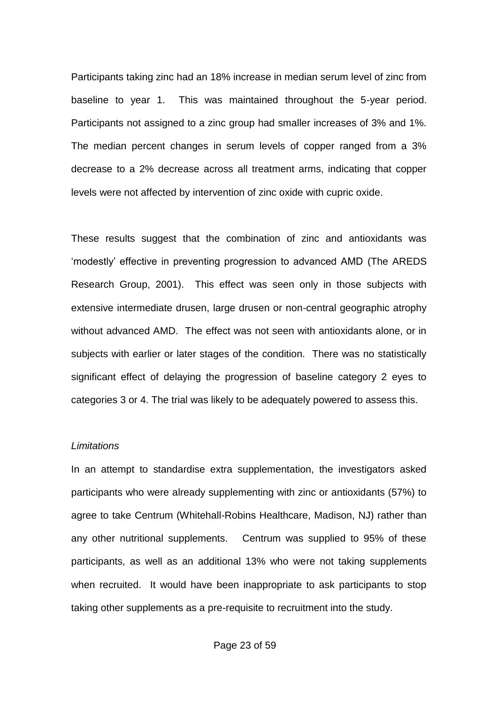Participants taking zinc had an 18% increase in median serum level of zinc from baseline to year 1. This was maintained throughout the 5-year period. Participants not assigned to a zinc group had smaller increases of 3% and 1%. The median percent changes in serum levels of copper ranged from a 3% decrease to a 2% decrease across all treatment arms, indicating that copper levels were not affected by intervention of zinc oxide with cupric oxide.

These results suggest that the combination of zinc and antioxidants was 'modestly' effective in preventing progression to advanced AMD (The AREDS Research Group, 2001). This effect was seen only in those subjects with extensive intermediate drusen, large drusen or non-central geographic atrophy without advanced AMD. The effect was not seen with antioxidants alone, or in subjects with earlier or later stages of the condition. There was no statistically significant effect of delaying the progression of baseline category 2 eyes to categories 3 or 4. The trial was likely to be adequately powered to assess this.

## *Limitations*

In an attempt to standardise extra supplementation, the investigators asked participants who were already supplementing with zinc or antioxidants (57%) to agree to take Centrum (Whitehall-Robins Healthcare, Madison, NJ) rather than any other nutritional supplements. Centrum was supplied to 95% of these participants, as well as an additional 13% who were not taking supplements when recruited. It would have been inappropriate to ask participants to stop taking other supplements as a pre-requisite to recruitment into the study.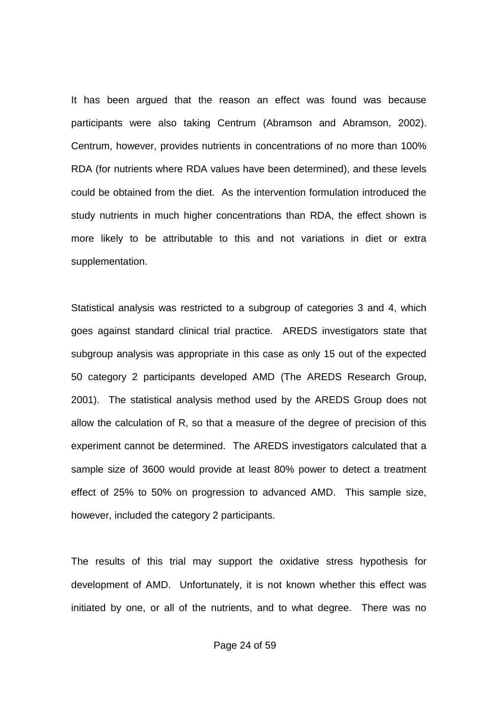It has been argued that the reason an effect was found was because participants were also taking Centrum (Abramson and Abramson, 2002). Centrum, however, provides nutrients in concentrations of no more than 100% RDA (for nutrients where RDA values have been determined), and these levels could be obtained from the diet. As the intervention formulation introduced the study nutrients in much higher concentrations than RDA, the effect shown is more likely to be attributable to this and not variations in diet or extra supplementation.

Statistical analysis was restricted to a subgroup of categories 3 and 4, which goes against standard clinical trial practice. AREDS investigators state that subgroup analysis was appropriate in this case as only 15 out of the expected 50 category 2 participants developed AMD (The AREDS Research Group, 2001). The statistical analysis method used by the AREDS Group does not allow the calculation of R, so that a measure of the degree of precision of this experiment cannot be determined. The AREDS investigators calculated that a sample size of 3600 would provide at least 80% power to detect a treatment effect of 25% to 50% on progression to advanced AMD. This sample size, however, included the category 2 participants.

The results of this trial may support the oxidative stress hypothesis for development of AMD. Unfortunately, it is not known whether this effect was initiated by one, or all of the nutrients, and to what degree. There was no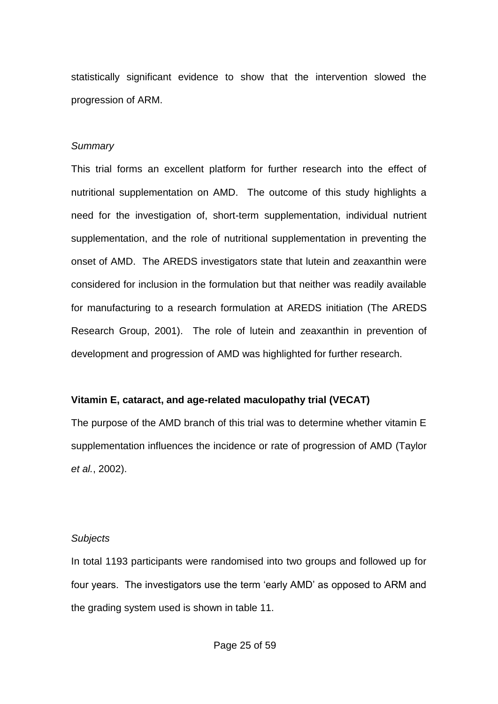statistically significant evidence to show that the intervention slowed the progression of ARM.

## *Summary*

This trial forms an excellent platform for further research into the effect of nutritional supplementation on AMD. The outcome of this study highlights a need for the investigation of, short-term supplementation, individual nutrient supplementation, and the role of nutritional supplementation in preventing the onset of AMD. The AREDS investigators state that lutein and zeaxanthin were considered for inclusion in the formulation but that neither was readily available for manufacturing to a research formulation at AREDS initiation (The AREDS Research Group, 2001). The role of lutein and zeaxanthin in prevention of development and progression of AMD was highlighted for further research.

# **Vitamin E, cataract, and age-related maculopathy trial (VECAT)**

The purpose of the AMD branch of this trial was to determine whether vitamin E supplementation influences the incidence or rate of progression of AMD (Taylor *et al.*, 2002).

#### *Subjects*

In total 1193 participants were randomised into two groups and followed up for four years. The investigators use the term 'early AMD' as opposed to ARM and the grading system used is shown in table 11.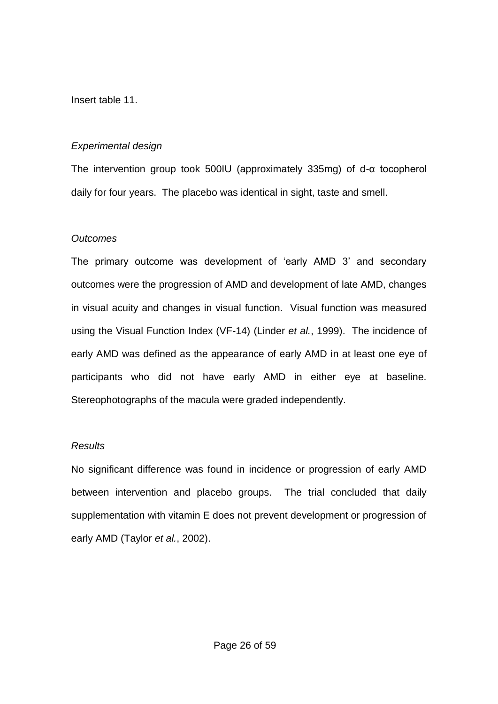Insert table 11.

# *Experimental design*

The intervention group took 500IU (approximately 335mg) of d-α tocopherol daily for four years. The placebo was identical in sight, taste and smell.

# *Outcomes*

The primary outcome was development of 'early AMD 3' and secondary outcomes were the progression of AMD and development of late AMD, changes in visual acuity and changes in visual function. Visual function was measured using the Visual Function Index (VF-14) (Linder *et al.*, 1999). The incidence of early AMD was defined as the appearance of early AMD in at least one eye of participants who did not have early AMD in either eye at baseline. Stereophotographs of the macula were graded independently.

# *Results*

No significant difference was found in incidence or progression of early AMD between intervention and placebo groups. The trial concluded that daily supplementation with vitamin E does not prevent development or progression of early AMD (Taylor *et al.*, 2002).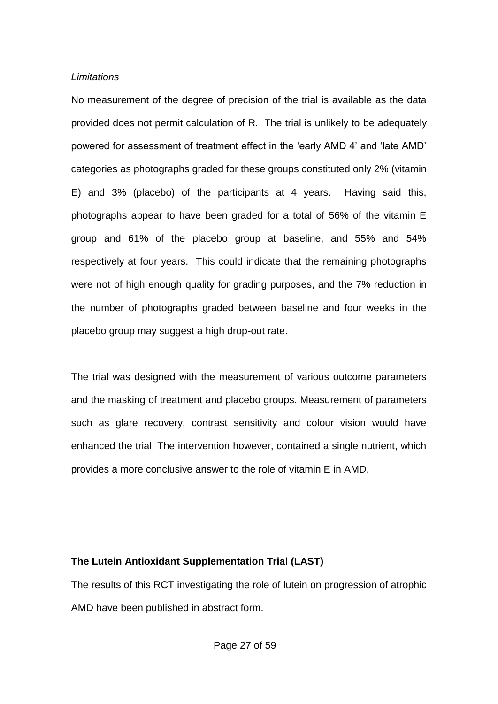#### *Limitations*

No measurement of the degree of precision of the trial is available as the data provided does not permit calculation of R. The trial is unlikely to be adequately powered for assessment of treatment effect in the 'early AMD 4' and 'late AMD' categories as photographs graded for these groups constituted only 2% (vitamin E) and 3% (placebo) of the participants at 4 years. Having said this, photographs appear to have been graded for a total of 56% of the vitamin E group and 61% of the placebo group at baseline, and 55% and 54% respectively at four years. This could indicate that the remaining photographs were not of high enough quality for grading purposes, and the 7% reduction in the number of photographs graded between baseline and four weeks in the placebo group may suggest a high drop-out rate.

The trial was designed with the measurement of various outcome parameters and the masking of treatment and placebo groups. Measurement of parameters such as glare recovery, contrast sensitivity and colour vision would have enhanced the trial. The intervention however, contained a single nutrient, which provides a more conclusive answer to the role of vitamin E in AMD.

# **The Lutein Antioxidant Supplementation Trial (LAST)**

The results of this RCT investigating the role of lutein on progression of atrophic AMD have been published in abstract form.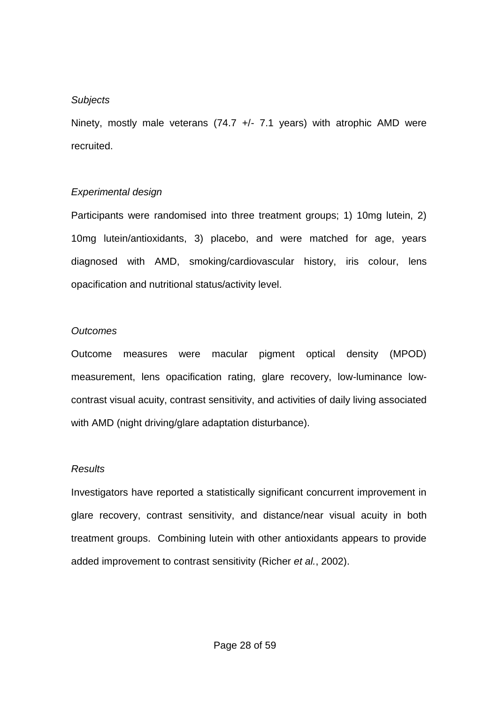## *Subjects*

Ninety, mostly male veterans  $(74.7 +/- 7.1$  years) with atrophic AMD were recruited.

# *Experimental design*

Participants were randomised into three treatment groups; 1) 10mg lutein, 2) 10mg lutein/antioxidants, 3) placebo, and were matched for age, years diagnosed with AMD, smoking/cardiovascular history, iris colour, lens opacification and nutritional status/activity level.

# *Outcomes*

Outcome measures were macular pigment optical density (MPOD) measurement, lens opacification rating, glare recovery, low-luminance lowcontrast visual acuity, contrast sensitivity, and activities of daily living associated with AMD (night driving/glare adaptation disturbance).

# *Results*

Investigators have reported a statistically significant concurrent improvement in glare recovery, contrast sensitivity, and distance/near visual acuity in both treatment groups. Combining lutein with other antioxidants appears to provide added improvement to contrast sensitivity (Richer *et al.*, 2002).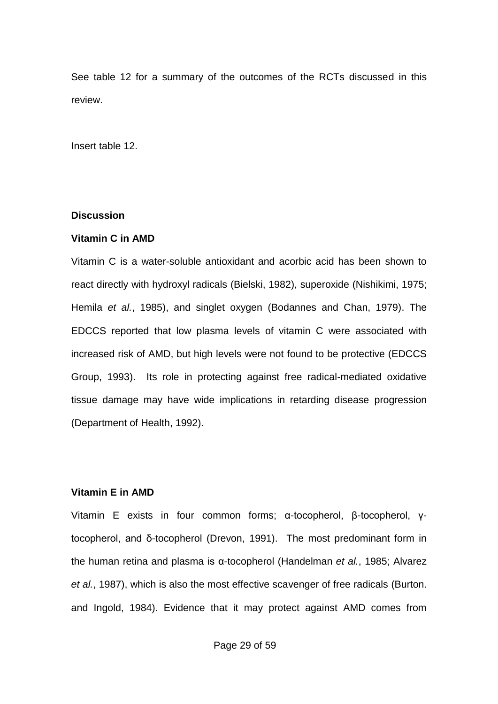See table 12 for a summary of the outcomes of the RCTs discussed in this review.

Insert table 12.

## **Discussion**

#### **Vitamin C in AMD**

Vitamin C is a water-soluble antioxidant and acorbic acid has been shown to react directly with hydroxyl radicals (Bielski, 1982), superoxide (Nishikimi, 1975; Hemila *et al.*, 1985), and singlet oxygen (Bodannes and Chan, 1979). The EDCCS reported that low plasma levels of vitamin C were associated with increased risk of AMD, but high levels were not found to be protective (EDCCS Group, 1993). Its role in protecting against free radical-mediated oxidative tissue damage may have wide implications in retarding disease progression (Department of Health, 1992).

# **Vitamin E in AMD**

Vitamin E exists in four common forms; α-tocopherol, β-tocopherol, γtocopherol, and δ-tocopherol (Drevon, 1991). The most predominant form in the human retina and plasma is α-tocopherol (Handelman *et al.*, 1985; Alvarez *et al.*, 1987), which is also the most effective scavenger of free radicals (Burton. and Ingold, 1984). Evidence that it may protect against AMD comes from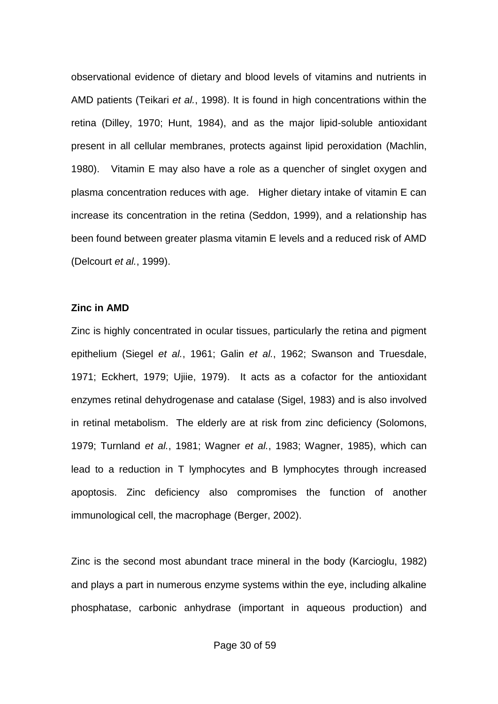observational evidence of dietary and blood levels of vitamins and nutrients in AMD patients (Teikari *et al.*, 1998). It is found in high concentrations within the retina (Dilley, 1970; Hunt, 1984), and as the major lipid-soluble antioxidant present in all cellular membranes, protects against lipid peroxidation (Machlin, 1980). Vitamin E may also have a role as a quencher of singlet oxygen and plasma concentration reduces with age. Higher dietary intake of vitamin E can increase its concentration in the retina (Seddon, 1999), and a relationship has been found between greater plasma vitamin E levels and a reduced risk of AMD (Delcourt *et al.*, 1999).

#### **Zinc in AMD**

Zinc is highly concentrated in ocular tissues, particularly the retina and pigment epithelium (Siegel *et al.*, 1961; Galin *et al.*, 1962; Swanson and Truesdale, 1971; Eckhert, 1979; Ujiie, 1979). It acts as a cofactor for the antioxidant enzymes retinal dehydrogenase and catalase (Sigel, 1983) and is also involved in retinal metabolism. The elderly are at risk from zinc deficiency (Solomons, 1979; Turnland *et al.*, 1981; Wagner *et al.*, 1983; Wagner, 1985), which can lead to a reduction in T lymphocytes and B lymphocytes through increased apoptosis. Zinc deficiency also compromises the function of another immunological cell, the macrophage (Berger, 2002).

Zinc is the second most abundant trace mineral in the body (Karcioglu, 1982) and plays a part in numerous enzyme systems within the eye, including alkaline phosphatase, carbonic anhydrase (important in aqueous production) and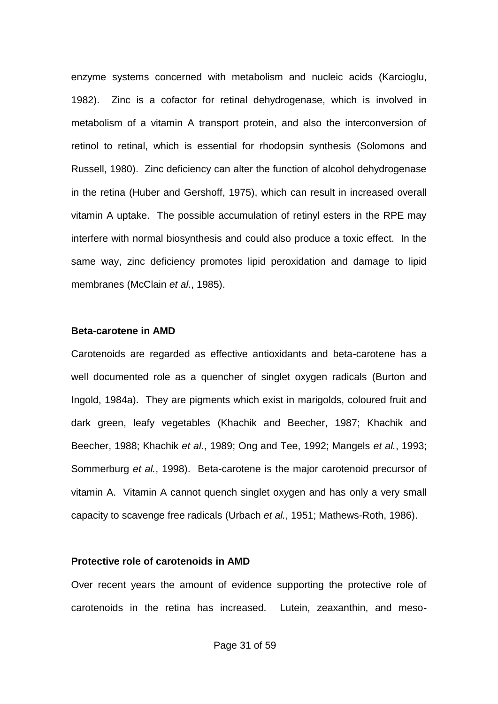enzyme systems concerned with metabolism and nucleic acids (Karcioglu, 1982). Zinc is a cofactor for retinal dehydrogenase, which is involved in metabolism of a vitamin A transport protein, and also the interconversion of retinol to retinal, which is essential for rhodopsin synthesis (Solomons and Russell, 1980). Zinc deficiency can alter the function of alcohol dehydrogenase in the retina (Huber and Gershoff, 1975), which can result in increased overall vitamin A uptake. The possible accumulation of retinyl esters in the RPE may interfere with normal biosynthesis and could also produce a toxic effect. In the same way, zinc deficiency promotes lipid peroxidation and damage to lipid membranes (McClain *et al.*, 1985).

#### **Beta-carotene in AMD**

Carotenoids are regarded as effective antioxidants and beta-carotene has a well documented role as a quencher of singlet oxygen radicals (Burton and Ingold, 1984a). They are pigments which exist in marigolds, coloured fruit and dark green, leafy vegetables (Khachik and Beecher, 1987; Khachik and Beecher, 1988; Khachik *et al.*, 1989; Ong and Tee, 1992; Mangels *et al.*, 1993; Sommerburg *et al.*, 1998). Beta-carotene is the major carotenoid precursor of vitamin A. Vitamin A cannot quench singlet oxygen and has only a very small capacity to scavenge free radicals (Urbach *et al.*, 1951; Mathews-Roth, 1986).

#### **Protective role of carotenoids in AMD**

Over recent years the amount of evidence supporting the protective role of carotenoids in the retina has increased. Lutein, zeaxanthin, and meso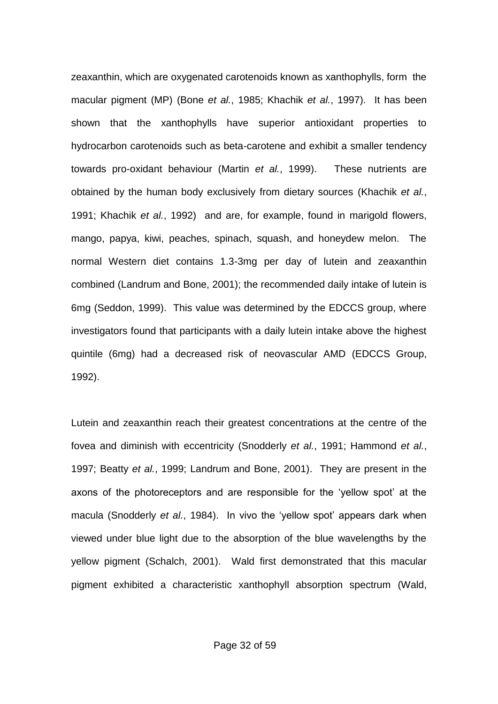zeaxanthin, which are oxygenated carotenoids known as xanthophylls, form the macular pigment (MP) (Bone *et al.*, 1985; Khachik *et al.*, 1997). It has been shown that the xanthophylls have superior antioxidant properties to hydrocarbon carotenoids such as beta-carotene and exhibit a smaller tendency towards pro-oxidant behaviour (Martin *et al.*, 1999). These nutrients are obtained by the human body exclusively from dietary sources (Khachik *et al.*, 1991; Khachik *et al.*, 1992) and are, for example, found in marigold flowers, mango, papya, kiwi, peaches, spinach, squash, and honeydew melon. The normal Western diet contains 1.3-3mg per day of lutein and zeaxanthin combined (Landrum and Bone, 2001); the recommended daily intake of lutein is 6mg (Seddon, 1999). This value was determined by the EDCCS group, where investigators found that participants with a daily lutein intake above the highest quintile (6mg) had a decreased risk of neovascular AMD (EDCCS Group, 1992).

Lutein and zeaxanthin reach their greatest concentrations at the centre of the fovea and diminish with eccentricity (Snodderly *et al.*, 1991; Hammond *et al.*, 1997; Beatty *et al.*, 1999; Landrum and Bone, 2001). They are present in the axons of the photoreceptors and are responsible for the 'yellow spot' at the macula (Snodderly *et al.*, 1984). In vivo the 'yellow spot' appears dark when viewed under blue light due to the absorption of the blue wavelengths by the yellow pigment (Schalch, 2001). Wald first demonstrated that this macular pigment exhibited a characteristic xanthophyll absorption spectrum (Wald,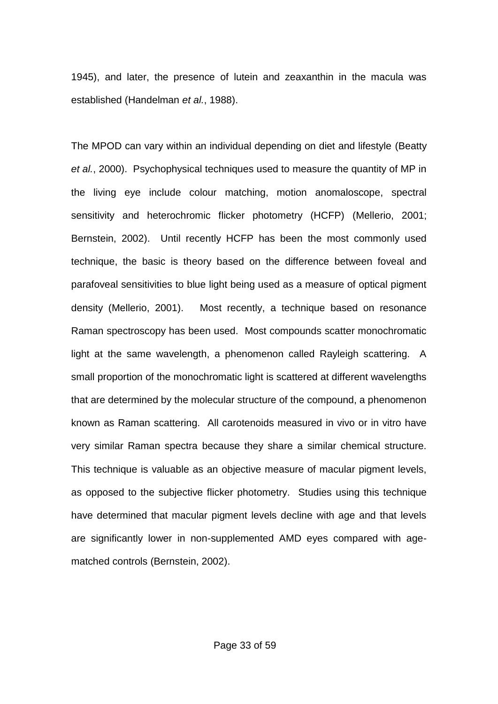1945), and later, the presence of lutein and zeaxanthin in the macula was established (Handelman *et al.*, 1988).

The MPOD can vary within an individual depending on diet and lifestyle (Beatty *et al.*, 2000). Psychophysical techniques used to measure the quantity of MP in the living eye include colour matching, motion anomaloscope, spectral sensitivity and heterochromic flicker photometry (HCFP) (Mellerio, 2001; Bernstein, 2002). Until recently HCFP has been the most commonly used technique, the basic is theory based on the difference between foveal and parafoveal sensitivities to blue light being used as a measure of optical pigment density (Mellerio, 2001). Most recently, a technique based on resonance Raman spectroscopy has been used. Most compounds scatter monochromatic light at the same wavelength, a phenomenon called Rayleigh scattering. A small proportion of the monochromatic light is scattered at different wavelengths that are determined by the molecular structure of the compound, a phenomenon known as Raman scattering. All carotenoids measured in vivo or in vitro have very similar Raman spectra because they share a similar chemical structure. This technique is valuable as an objective measure of macular pigment levels, as opposed to the subjective flicker photometry. Studies using this technique have determined that macular pigment levels decline with age and that levels are significantly lower in non-supplemented AMD eyes compared with agematched controls (Bernstein, 2002).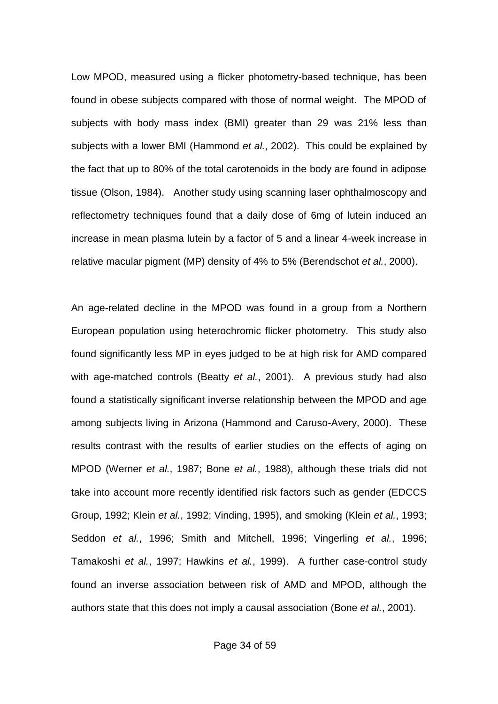Low MPOD, measured using a flicker photometry-based technique, has been found in obese subjects compared with those of normal weight. The MPOD of subjects with body mass index (BMI) greater than 29 was 21% less than subjects with a lower BMI (Hammond *et al.*, 2002). This could be explained by the fact that up to 80% of the total carotenoids in the body are found in adipose tissue (Olson, 1984). Another study using scanning laser ophthalmoscopy and reflectometry techniques found that a daily dose of 6mg of lutein induced an increase in mean plasma lutein by a factor of 5 and a linear 4-week increase in relative macular pigment (MP) density of 4% to 5% (Berendschot *et al.*, 2000).

An age-related decline in the MPOD was found in a group from a Northern European population using heterochromic flicker photometry. This study also found significantly less MP in eyes judged to be at high risk for AMD compared with age-matched controls (Beatty *et al.*, 2001). A previous study had also found a statistically significant inverse relationship between the MPOD and age among subjects living in Arizona (Hammond and Caruso-Avery, 2000). These results contrast with the results of earlier studies on the effects of aging on MPOD (Werner *et al.*, 1987; Bone *et al.*, 1988), although these trials did not take into account more recently identified risk factors such as gender (EDCCS Group, 1992; Klein *et al.*, 1992; Vinding, 1995), and smoking (Klein *et al.*, 1993; Seddon *et al.*, 1996; Smith and Mitchell, 1996; Vingerling *et al.*, 1996; Tamakoshi *et al.*, 1997; Hawkins *et al.*, 1999). A further case-control study found an inverse association between risk of AMD and MPOD, although the authors state that this does not imply a causal association (Bone *et al.*, 2001).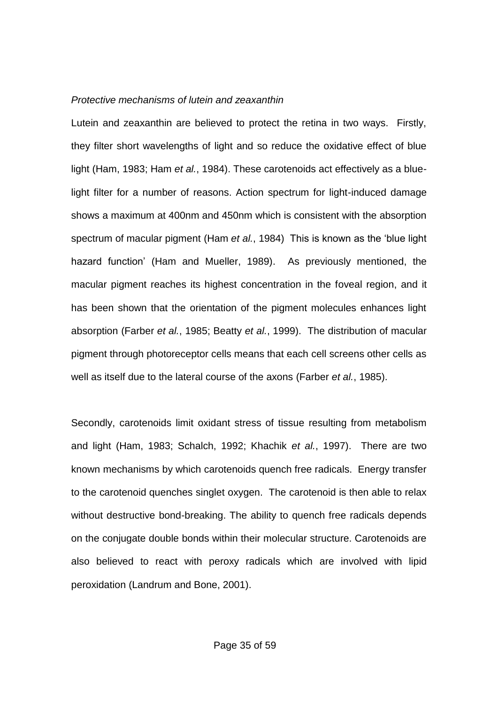#### *Protective mechanisms of lutein and zeaxanthin*

Lutein and zeaxanthin are believed to protect the retina in two ways. Firstly, they filter short wavelengths of light and so reduce the oxidative effect of blue light (Ham, 1983; Ham *et al.*, 1984). These carotenoids act effectively as a bluelight filter for a number of reasons. Action spectrum for light-induced damage shows a maximum at 400nm and 450nm which is consistent with the absorption spectrum of macular pigment (Ham *et al.*, 1984) This is known as the 'blue light hazard function' (Ham and Mueller, 1989). As previously mentioned, the macular pigment reaches its highest concentration in the foveal region, and it has been shown that the orientation of the pigment molecules enhances light absorption (Farber *et al.*, 1985; Beatty *et al.*, 1999). The distribution of macular pigment through photoreceptor cells means that each cell screens other cells as well as itself due to the lateral course of the axons (Farber *et al.*, 1985).

Secondly, carotenoids limit oxidant stress of tissue resulting from metabolism and light (Ham, 1983; Schalch, 1992; Khachik *et al.*, 1997). There are two known mechanisms by which carotenoids quench free radicals. Energy transfer to the carotenoid quenches singlet oxygen. The carotenoid is then able to relax without destructive bond-breaking. The ability to quench free radicals depends on the conjugate double bonds within their molecular structure. Carotenoids are also believed to react with peroxy radicals which are involved with lipid peroxidation (Landrum and Bone, 2001).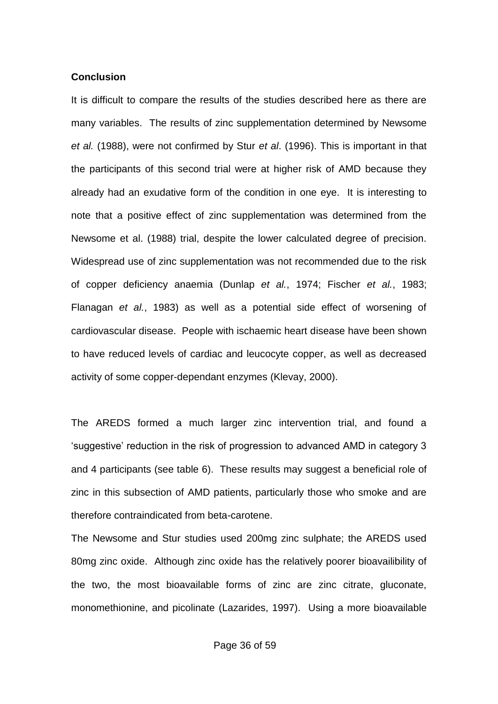#### **Conclusion**

It is difficult to compare the results of the studies described here as there are many variables. The results of zinc supplementation determined by Newsome *et al.* (1988), were not confirmed by Stur *et al*. (1996). This is important in that the participants of this second trial were at higher risk of AMD because they already had an exudative form of the condition in one eye. It is interesting to note that a positive effect of zinc supplementation was determined from the Newsome et al. (1988) trial, despite the lower calculated degree of precision. Widespread use of zinc supplementation was not recommended due to the risk of copper deficiency anaemia (Dunlap *et al.*, 1974; Fischer *et al.*, 1983; Flanagan *et al.*, 1983) as well as a potential side effect of worsening of cardiovascular disease. People with ischaemic heart disease have been shown to have reduced levels of cardiac and leucocyte copper, as well as decreased activity of some copper-dependant enzymes (Klevay, 2000).

The AREDS formed a much larger zinc intervention trial, and found a 'suggestive' reduction in the risk of progression to advanced AMD in category 3 and 4 participants (see table 6). These results may suggest a beneficial role of zinc in this subsection of AMD patients, particularly those who smoke and are therefore contraindicated from beta-carotene.

The Newsome and Stur studies used 200mg zinc sulphate; the AREDS used 80mg zinc oxide. Although zinc oxide has the relatively poorer bioavailibility of the two, the most bioavailable forms of zinc are zinc citrate, gluconate, monomethionine, and picolinate (Lazarides, 1997). Using a more bioavailable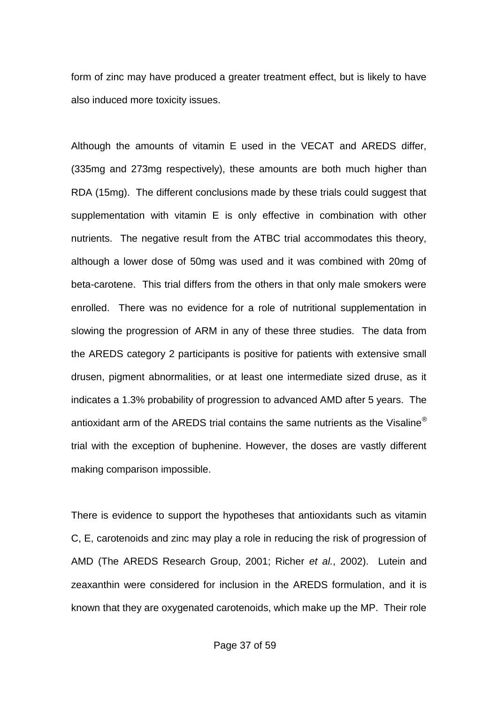form of zinc may have produced a greater treatment effect, but is likely to have also induced more toxicity issues.

Although the amounts of vitamin E used in the VECAT and AREDS differ, (335mg and 273mg respectively), these amounts are both much higher than RDA (15mg). The different conclusions made by these trials could suggest that supplementation with vitamin E is only effective in combination with other nutrients. The negative result from the ATBC trial accommodates this theory, although a lower dose of 50mg was used and it was combined with 20mg of beta-carotene. This trial differs from the others in that only male smokers were enrolled. There was no evidence for a role of nutritional supplementation in slowing the progression of ARM in any of these three studies. The data from the AREDS category 2 participants is positive for patients with extensive small drusen, pigment abnormalities, or at least one intermediate sized druse, as it indicates a 1.3% probability of progression to advanced AMD after 5 years. The antioxidant arm of the AREDS trial contains the same nutrients as the Visaline<sup>®</sup> trial with the exception of buphenine. However, the doses are vastly different making comparison impossible.

There is evidence to support the hypotheses that antioxidants such as vitamin C, E, carotenoids and zinc may play a role in reducing the risk of progression of AMD (The AREDS Research Group, 2001; Richer *et al.*, 2002). Lutein and zeaxanthin were considered for inclusion in the AREDS formulation, and it is known that they are oxygenated carotenoids, which make up the MP. Their role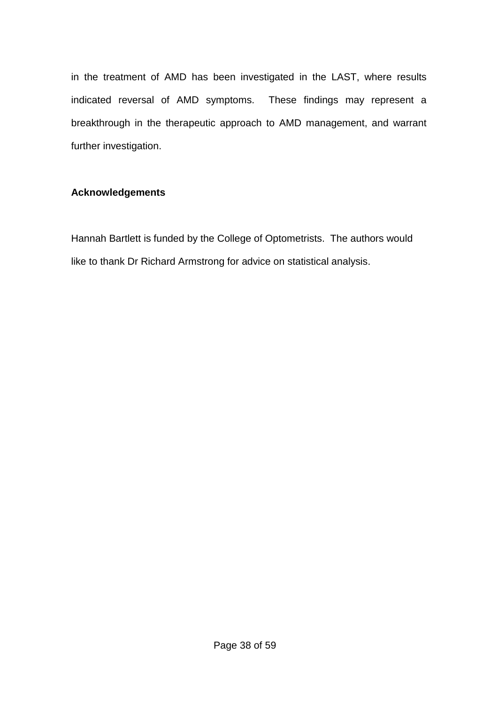in the treatment of AMD has been investigated in the LAST, where results indicated reversal of AMD symptoms. These findings may represent a breakthrough in the therapeutic approach to AMD management, and warrant further investigation.

# **Acknowledgements**

Hannah Bartlett is funded by the College of Optometrists. The authors would like to thank Dr Richard Armstrong for advice on statistical analysis.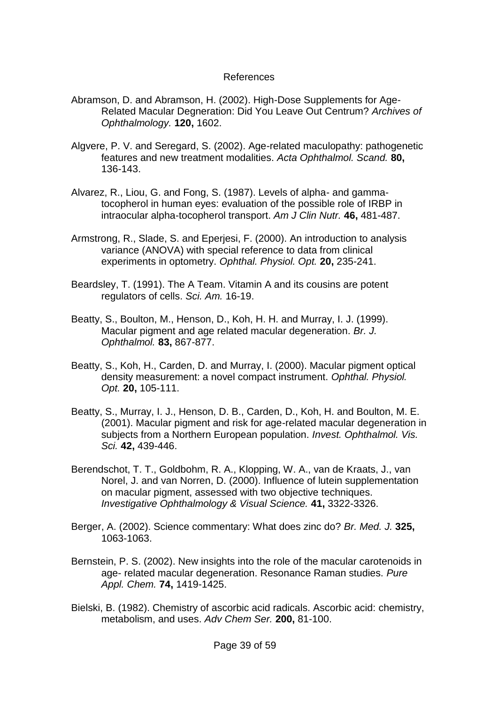# References

- Abramson, D. and Abramson, H. (2002). High-Dose Supplements for Age-Related Macular Degneration: Did You Leave Out Centrum? *Archives of Ophthalmology.* **120,** 1602.
- Algvere, P. V. and Seregard, S. (2002). Age-related maculopathy: pathogenetic features and new treatment modalities. *Acta Ophthalmol. Scand.* **80,** 136-143.
- Alvarez, R., Liou, G. and Fong, S. (1987). Levels of alpha- and gammatocopherol in human eyes: evaluation of the possible role of IRBP in intraocular alpha-tocopherol transport. *Am J Clin Nutr.* **46,** 481-487.
- Armstrong, R., Slade, S. and Eperjesi, F. (2000). An introduction to analysis variance (ANOVA) with special reference to data from clinical experiments in optometry. *Ophthal. Physiol. Opt.* **20,** 235-241.
- Beardsley, T. (1991). The A Team. Vitamin A and its cousins are potent regulators of cells. *Sci. Am.* 16-19.
- Beatty, S., Boulton, M., Henson, D., Koh, H. H. and Murray, I. J. (1999). Macular pigment and age related macular degeneration. *Br. J. Ophthalmol.* **83,** 867-877.
- Beatty, S., Koh, H., Carden, D. and Murray, I. (2000). Macular pigment optical density measurement: a novel compact instrument. *Ophthal. Physiol. Opt.* **20,** 105-111.
- Beatty, S., Murray, I. J., Henson, D. B., Carden, D., Koh, H. and Boulton, M. E. (2001). Macular pigment and risk for age-related macular degeneration in subjects from a Northern European population. *Invest. Ophthalmol. Vis. Sci.* **42,** 439-446.
- Berendschot, T. T., Goldbohm, R. A., Klopping, W. A., van de Kraats, J., van Norel, J. and van Norren, D. (2000). Influence of lutein supplementation on macular pigment, assessed with two objective techniques. *Investigative Ophthalmology & Visual Science.* **41,** 3322-3326.
- Berger, A. (2002). Science commentary: What does zinc do? *Br. Med. J.* **325,** 1063-1063.
- Bernstein, P. S. (2002). New insights into the role of the macular carotenoids in age- related macular degeneration. Resonance Raman studies. *Pure Appl. Chem.* **74,** 1419-1425.
- Bielski, B. (1982). Chemistry of ascorbic acid radicals. Ascorbic acid: chemistry, metabolism, and uses. *Adv Chem Ser.* **200,** 81-100.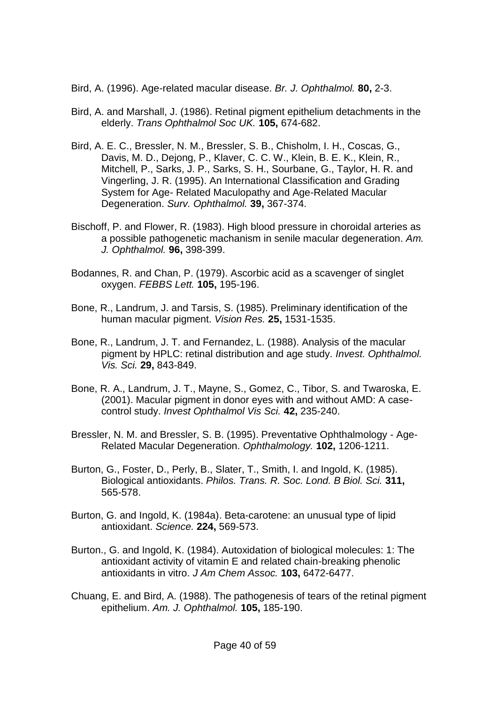- Bird, A. (1996). Age-related macular disease. *Br. J. Ophthalmol.* **80,** 2-3.
- Bird, A. and Marshall, J. (1986). Retinal pigment epithelium detachments in the elderly. *Trans Ophthalmol Soc UK.* **105,** 674-682.
- Bird, A. E. C., Bressler, N. M., Bressler, S. B., Chisholm, I. H., Coscas, G., Davis, M. D., Dejong, P., Klaver, C. C. W., Klein, B. E. K., Klein, R., Mitchell, P., Sarks, J. P., Sarks, S. H., Sourbane, G., Taylor, H. R. and Vingerling, J. R. (1995). An International Classification and Grading System for Age- Related Maculopathy and Age-Related Macular Degeneration. *Surv. Ophthalmol.* **39,** 367-374.
- Bischoff, P. and Flower, R. (1983). High blood pressure in choroidal arteries as a possible pathogenetic machanism in senile macular degeneration. *Am. J. Ophthalmol.* **96,** 398-399.
- Bodannes, R. and Chan, P. (1979). Ascorbic acid as a scavenger of singlet oxygen. *FEBBS Lett.* **105,** 195-196.
- Bone, R., Landrum, J. and Tarsis, S. (1985). Preliminary identification of the human macular pigment. *Vision Res.* **25,** 1531-1535.
- Bone, R., Landrum, J. T. and Fernandez, L. (1988). Analysis of the macular pigment by HPLC: retinal distribution and age study. *Invest. Ophthalmol. Vis. Sci.* **29,** 843-849.
- Bone, R. A., Landrum, J. T., Mayne, S., Gomez, C., Tibor, S. and Twaroska, E. (2001). Macular pigment in donor eyes with and without AMD: A casecontrol study. *Invest Ophthalmol Vis Sci.* **42,** 235-240.
- Bressler, N. M. and Bressler, S. B. (1995). Preventative Ophthalmology Age-Related Macular Degeneration. *Ophthalmology.* **102,** 1206-1211.
- Burton, G., Foster, D., Perly, B., Slater, T., Smith, I. and Ingold, K. (1985). Biological antioxidants. *Philos. Trans. R. Soc. Lond. B Biol. Sci.* **311,** 565-578.
- Burton, G. and Ingold, K. (1984a). Beta-carotene: an unusual type of lipid antioxidant. *Science.* **224,** 569-573.
- Burton., G. and Ingold, K. (1984). Autoxidation of biological molecules: 1: The antioxidant activity of vitamin E and related chain-breaking phenolic antioxidants in vitro. *J Am Chem Assoc.* **103,** 6472-6477.
- Chuang, E. and Bird, A. (1988). The pathogenesis of tears of the retinal pigment epithelium. *Am. J. Ophthalmol.* **105,** 185-190.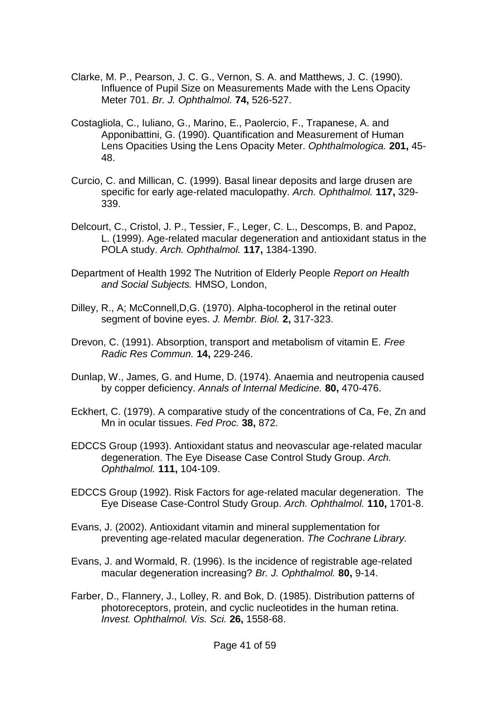- Clarke, M. P., Pearson, J. C. G., Vernon, S. A. and Matthews, J. C. (1990). Influence of Pupil Size on Measurements Made with the Lens Opacity Meter 701. *Br. J. Ophthalmol.* **74,** 526-527.
- Costagliola, C., Iuliano, G., Marino, E., Paolercio, F., Trapanese, A. and Apponibattini, G. (1990). Quantification and Measurement of Human Lens Opacities Using the Lens Opacity Meter. *Ophthalmologica.* **201,** 45- 48.
- Curcio, C. and Millican, C. (1999). Basal linear deposits and large drusen are specific for early age-related maculopathy. *Arch. Ophthalmol.* **117,** 329- 339.
- Delcourt, C., Cristol, J. P., Tessier, F., Leger, C. L., Descomps, B. and Papoz, L. (1999). Age-related macular degeneration and antioxidant status in the POLA study. *Arch. Ophthalmol.* **117,** 1384-1390.
- Department of Health 1992 The Nutrition of Elderly People *Report on Health and Social Subjects.* HMSO, London,
- Dilley, R., A; McConnell,D,G. (1970). Alpha-tocopherol in the retinal outer segment of bovine eyes. *J. Membr. Biol.* **2,** 317-323.
- Drevon, C. (1991). Absorption, transport and metabolism of vitamin E. *Free Radic Res Commun.* **14,** 229-246.
- Dunlap, W., James, G. and Hume, D. (1974). Anaemia and neutropenia caused by copper deficiency. *Annals of Internal Medicine.* **80,** 470-476.
- Eckhert, C. (1979). A comparative study of the concentrations of Ca, Fe, Zn and Mn in ocular tissues. *Fed Proc.* **38,** 872.
- EDCCS Group (1993). Antioxidant status and neovascular age-related macular degeneration. The Eye Disease Case Control Study Group. *Arch. Ophthalmol.* **111,** 104-109.
- EDCCS Group (1992). Risk Factors for age-related macular degeneration. The Eye Disease Case-Control Study Group. *Arch. Ophthalmol.* **110,** 1701-8.
- Evans, J. (2002). Antioxidant vitamin and mineral supplementation for preventing age-related macular degeneration. *The Cochrane Library.*
- Evans, J. and Wormald, R. (1996). Is the incidence of registrable age-related macular degeneration increasing? *Br. J. Ophthalmol.* **80,** 9-14.
- Farber, D., Flannery, J., Lolley, R. and Bok, D. (1985). Distribution patterns of photoreceptors, protein, and cyclic nucleotides in the human retina. *Invest. Ophthalmol. Vis. Sci.* **26,** 1558-68.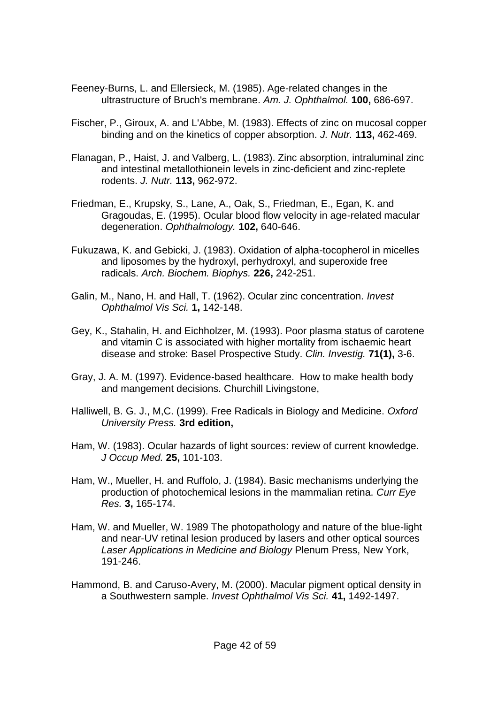- Feeney-Burns, L. and Ellersieck, M. (1985). Age-related changes in the ultrastructure of Bruch's membrane. *Am. J. Ophthalmol.* **100,** 686-697.
- Fischer, P., Giroux, A. and L'Abbe, M. (1983). Effects of zinc on mucosal copper binding and on the kinetics of copper absorption. *J. Nutr.* **113,** 462-469.
- Flanagan, P., Haist, J. and Valberg, L. (1983). Zinc absorption, intraluminal zinc and intestinal metallothionein levels in zinc-deficient and zinc-replete rodents. *J. Nutr.* **113,** 962-972.
- Friedman, E., Krupsky, S., Lane, A., Oak, S., Friedman, E., Egan, K. and Gragoudas, E. (1995). Ocular blood flow velocity in age-related macular degeneration. *Ophthalmology.* **102,** 640-646.
- Fukuzawa, K. and Gebicki, J. (1983). Oxidation of alpha-tocopherol in micelles and liposomes by the hydroxyl, perhydroxyl, and superoxide free radicals. *Arch. Biochem. Biophys.* **226,** 242-251.
- Galin, M., Nano, H. and Hall, T. (1962). Ocular zinc concentration. *Invest Ophthalmol Vis Sci.* **1,** 142-148.
- Gey, K., Stahalin, H. and Eichholzer, M. (1993). Poor plasma status of carotene and vitamin C is associated with higher mortality from ischaemic heart disease and stroke: Basel Prospective Study. *Clin. Investig.* **71(1),** 3-6.
- Gray, J. A. M. (1997). Evidence-based healthcare. How to make health body and mangement decisions. Churchill Livingstone,
- Halliwell, B. G. J., M,C. (1999). Free Radicals in Biology and Medicine. *Oxford University Press.* **3rd edition,**
- Ham, W. (1983). Ocular hazards of light sources: review of current knowledge. *J Occup Med.* **25,** 101-103.
- Ham, W., Mueller, H. and Ruffolo, J. (1984). Basic mechanisms underlying the production of photochemical lesions in the mammalian retina. *Curr Eye Res.* **3,** 165-174.
- Ham, W. and Mueller, W. 1989 The photopathology and nature of the blue-light and near-UV retinal lesion produced by lasers and other optical sources *Laser Applications in Medicine and Biology* Plenum Press, New York, 191-246.
- Hammond, B. and Caruso-Avery, M. (2000). Macular pigment optical density in a Southwestern sample. *Invest Ophthalmol Vis Sci.* **41,** 1492-1497.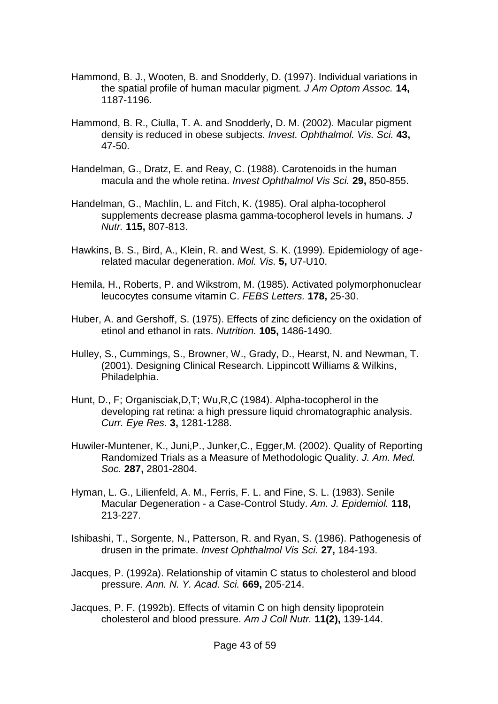- Hammond, B. J., Wooten, B. and Snodderly, D. (1997). Individual variations in the spatial profile of human macular pigment. *J Am Optom Assoc.* **14,** 1187-1196.
- Hammond, B. R., Ciulla, T. A. and Snodderly, D. M. (2002). Macular pigment density is reduced in obese subjects. *Invest. Ophthalmol. Vis. Sci.* **43,** 47-50.
- Handelman, G., Dratz, E. and Reay, C. (1988). Carotenoids in the human macula and the whole retina. *Invest Ophthalmol Vis Sci.* **29,** 850-855.
- Handelman, G., Machlin, L. and Fitch, K. (1985). Oral alpha-tocopherol supplements decrease plasma gamma-tocopherol levels in humans. *J Nutr.* **115,** 807-813.
- Hawkins, B. S., Bird, A., Klein, R. and West, S. K. (1999). Epidemiology of agerelated macular degeneration. *Mol. Vis.* **5,** U7-U10.
- Hemila, H., Roberts, P. and Wikstrom, M. (1985). Activated polymorphonuclear leucocytes consume vitamin C. *FEBS Letters.* **178,** 25-30.
- Huber, A. and Gershoff, S. (1975). Effects of zinc deficiency on the oxidation of etinol and ethanol in rats. *Nutrition.* **105,** 1486-1490.
- Hulley, S., Cummings, S., Browner, W., Grady, D., Hearst, N. and Newman, T. (2001). Designing Clinical Research. Lippincott Williams & Wilkins, Philadelphia.
- Hunt, D., F; Organisciak,D,T; Wu,R,C (1984). Alpha-tocopherol in the developing rat retina: a high pressure liquid chromatographic analysis. *Curr. Eye Res.* **3,** 1281-1288.
- Huwiler-Muntener, K., Juni,P., Junker,C., Egger,M. (2002). Quality of Reporting Randomized Trials as a Measure of Methodologic Quality. *J. Am. Med. Soc.* **287,** 2801-2804.
- Hyman, L. G., Lilienfeld, A. M., Ferris, F. L. and Fine, S. L. (1983). Senile Macular Degeneration - a Case-Control Study. *Am. J. Epidemiol.* **118,** 213-227.
- Ishibashi, T., Sorgente, N., Patterson, R. and Ryan, S. (1986). Pathogenesis of drusen in the primate. *Invest Ophthalmol Vis Sci.* **27,** 184-193.
- Jacques, P. (1992a). Relationship of vitamin C status to cholesterol and blood pressure. *Ann. N. Y. Acad. Sci.* **669,** 205-214.
- Jacques, P. F. (1992b). Effects of vitamin C on high density lipoprotein cholesterol and blood pressure. *Am J Coll Nutr.* **11(2),** 139-144.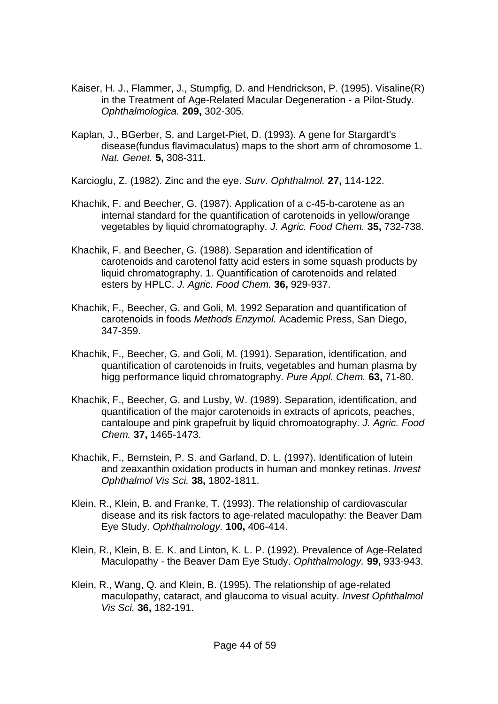- Kaiser, H. J., Flammer, J., Stumpfig, D. and Hendrickson, P. (1995). Visaline(R) in the Treatment of Age-Related Macular Degeneration - a Pilot-Study. *Ophthalmologica.* **209,** 302-305.
- Kaplan, J., BGerber, S. and Larget-Piet, D. (1993). A gene for Stargardt's disease(fundus flavimaculatus) maps to the short arm of chromosome 1. *Nat. Genet.* **5,** 308-311.
- Karcioglu, Z. (1982). Zinc and the eye. *Surv. Ophthalmol.* **27,** 114-122.
- Khachik, F. and Beecher, G. (1987). Application of a c-45-b-carotene as an internal standard for the quantification of carotenoids in yellow/orange vegetables by liquid chromatography. *J. Agric. Food Chem.* **35,** 732-738.
- Khachik, F. and Beecher, G. (1988). Separation and identification of carotenoids and carotenol fatty acid esters in some squash products by liquid chromatography. 1. Quantification of carotenoids and related esters by HPLC. *J. Agric. Food Chem.* **36,** 929-937.
- Khachik, F., Beecher, G. and Goli, M. 1992 Separation and quantification of carotenoids in foods *Methods Enzymol.* Academic Press, San Diego, 347-359.
- Khachik, F., Beecher, G. and Goli, M. (1991). Separation, identification, and quantification of carotenoids in fruits, vegetables and human plasma by higg performance liquid chromatography. *Pure Appl. Chem.* **63,** 71-80.
- Khachik, F., Beecher, G. and Lusby, W. (1989). Separation, identification, and quantification of the major carotenoids in extracts of apricots, peaches, cantaloupe and pink grapefruit by liquid chromoatography. *J. Agric. Food Chem.* **37,** 1465-1473.
- Khachik, F., Bernstein, P. S. and Garland, D. L. (1997). Identification of lutein and zeaxanthin oxidation products in human and monkey retinas. *Invest Ophthalmol Vis Sci.* **38,** 1802-1811.
- Klein, R., Klein, B. and Franke, T. (1993). The relationship of cardiovascular disease and its risk factors to age-related maculopathy: the Beaver Dam Eye Study. *Ophthalmology.* **100,** 406-414.
- Klein, R., Klein, B. E. K. and Linton, K. L. P. (1992). Prevalence of Age-Related Maculopathy - the Beaver Dam Eye Study. *Ophthalmology.* **99,** 933-943.
- Klein, R., Wang, Q. and Klein, B. (1995). The relationship of age-related maculopathy, cataract, and glaucoma to visual acuity. *Invest Ophthalmol Vis Sci.* **36,** 182-191.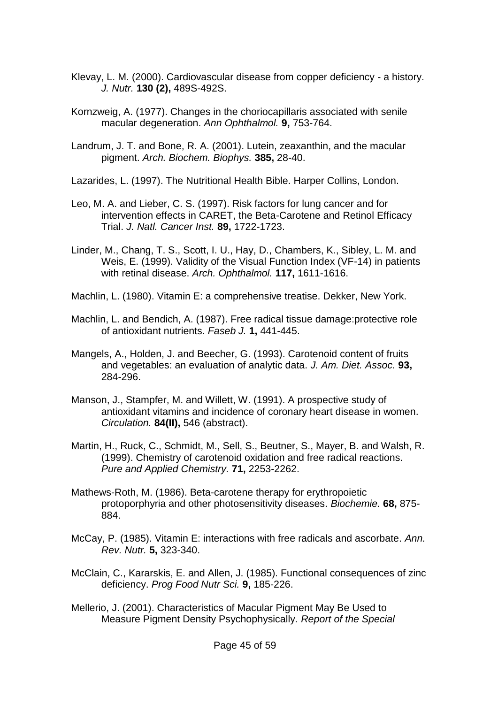- Klevay, L. M. (2000). Cardiovascular disease from copper deficiency a history. *J. Nutr.* **130 (2),** 489S-492S.
- Kornzweig, A. (1977). Changes in the choriocapillaris associated with senile macular degeneration. *Ann Ophthalmol.* **9,** 753-764.
- Landrum, J. T. and Bone, R. A. (2001). Lutein, zeaxanthin, and the macular pigment. *Arch. Biochem. Biophys.* **385,** 28-40.
- Lazarides, L. (1997). The Nutritional Health Bible. Harper Collins, London.
- Leo, M. A. and Lieber, C. S. (1997). Risk factors for lung cancer and for intervention effects in CARET, the Beta-Carotene and Retinol Efficacy Trial. *J. Natl. Cancer Inst.* **89,** 1722-1723.
- Linder, M., Chang, T. S., Scott, I. U., Hay, D., Chambers, K., Sibley, L. M. and Weis, E. (1999). Validity of the Visual Function Index (VF-14) in patients with retinal disease. *Arch. Ophthalmol.* **117,** 1611-1616.
- Machlin, L. (1980). Vitamin E: a comprehensive treatise. Dekker, New York.
- Machlin, L. and Bendich, A. (1987). Free radical tissue damage:protective role of antioxidant nutrients. *Faseb J.* **1,** 441-445.
- Mangels, A., Holden, J. and Beecher, G. (1993). Carotenoid content of fruits and vegetables: an evaluation of analytic data. *J. Am. Diet. Assoc.* **93,** 284-296.
- Manson, J., Stampfer, M. and Willett, W. (1991). A prospective study of antioxidant vitamins and incidence of coronary heart disease in women. *Circulation.* **84(II),** 546 (abstract).
- Martin, H., Ruck, C., Schmidt, M., Sell, S., Beutner, S., Mayer, B. and Walsh, R. (1999). Chemistry of carotenoid oxidation and free radical reactions. *Pure and Applied Chemistry.* **71,** 2253-2262.
- Mathews-Roth, M. (1986). Beta-carotene therapy for erythropoietic protoporphyria and other photosensitivity diseases. *Biochemie.* **68,** 875- 884.
- McCay, P. (1985). Vitamin E: interactions with free radicals and ascorbate. *Ann. Rev. Nutr.* **5,** 323-340.
- McClain, C., Kararskis, E. and Allen, J. (1985). Functional consequences of zinc deficiency. *Prog Food Nutr Sci.* **9,** 185-226.
- Mellerio, J. (2001). Characteristics of Macular Pigment May Be Used to Measure Pigment Density Psychophysically. *Report of the Special*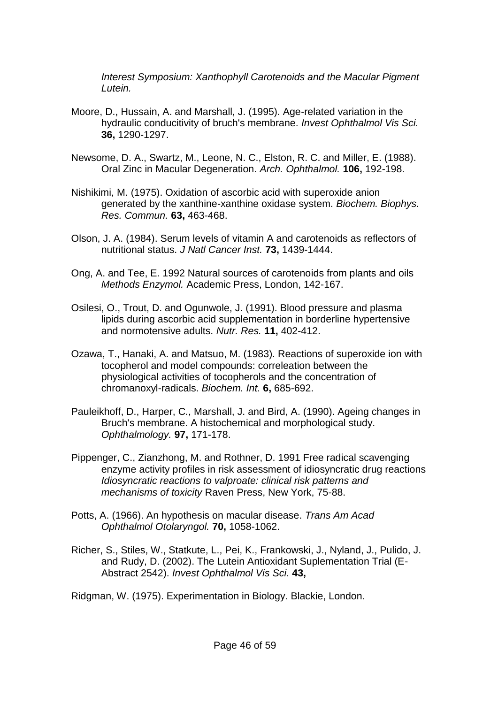*Interest Symposium: Xanthophyll Carotenoids and the Macular Pigment Lutein.*

- Moore, D., Hussain, A. and Marshall, J. (1995). Age-related variation in the hydraulic conducitivity of bruch's membrane. *Invest Ophthalmol Vis Sci.* **36,** 1290-1297.
- Newsome, D. A., Swartz, M., Leone, N. C., Elston, R. C. and Miller, E. (1988). Oral Zinc in Macular Degeneration. *Arch. Ophthalmol.* **106,** 192-198.
- Nishikimi, M. (1975). Oxidation of ascorbic acid with superoxide anion generated by the xanthine-xanthine oxidase system. *Biochem. Biophys. Res. Commun.* **63,** 463-468.
- Olson, J. A. (1984). Serum levels of vitamin A and carotenoids as reflectors of nutritional status. *J Natl Cancer Inst.* **73,** 1439-1444.
- Ong, A. and Tee, E. 1992 Natural sources of carotenoids from plants and oils *Methods Enzymol.* Academic Press, London, 142-167.
- Osilesi, O., Trout, D. and Ogunwole, J. (1991). Blood pressure and plasma lipids during ascorbic acid supplementation in borderline hypertensive and normotensive adults. *Nutr. Res.* **11,** 402-412.
- Ozawa, T., Hanaki, A. and Matsuo, M. (1983). Reactions of superoxide ion with tocopherol and model compounds: correleation between the physiological activities of tocopherols and the concentration of chromanoxyl-radicals. *Biochem. Int.* **6,** 685-692.
- Pauleikhoff, D., Harper, C., Marshall, J. and Bird, A. (1990). Ageing changes in Bruch's membrane. A histochemical and morphological study. *Ophthalmology.* **97,** 171-178.
- Pippenger, C., Zianzhong, M. and Rothner, D. 1991 Free radical scavenging enzyme activity profiles in risk assessment of idiosyncratic drug reactions *Idiosyncratic reactions to valproate: clinical risk patterns and mechanisms of toxicity* Raven Press, New York, 75-88.
- Potts, A. (1966). An hypothesis on macular disease. *Trans Am Acad Ophthalmol Otolaryngol.* **70,** 1058-1062.
- Richer, S., Stiles, W., Statkute, L., Pei, K., Frankowski, J., Nyland, J., Pulido, J. and Rudy, D. (2002). The Lutein Antioxidant Suplementation Trial (E-Abstract 2542). *Invest Ophthalmol Vis Sci.* **43,**

Ridgman, W. (1975). Experimentation in Biology. Blackie, London.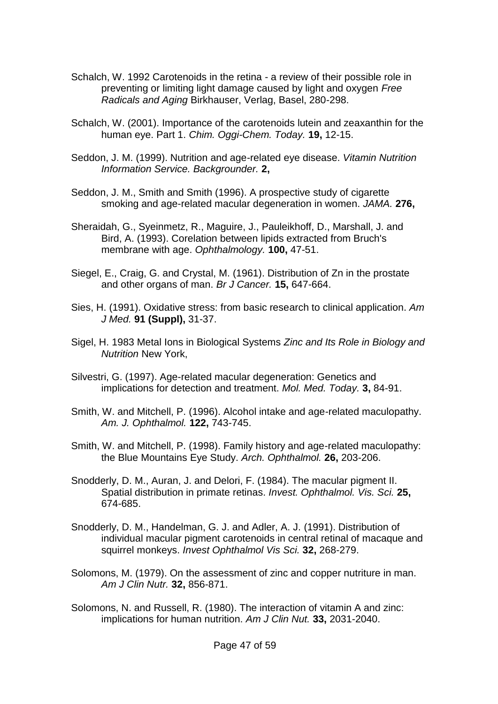- Schalch, W. 1992 Carotenoids in the retina a review of their possible role in preventing or limiting light damage caused by light and oxygen *Free Radicals and Aging* Birkhauser, Verlag, Basel, 280-298.
- Schalch, W. (2001). Importance of the carotenoids lutein and zeaxanthin for the human eye. Part 1. *Chim. Oggi-Chem. Today.* **19,** 12-15.
- Seddon, J. M. (1999). Nutrition and age-related eye disease. *Vitamin Nutrition Information Service. Backgrounder.* **2,**
- Seddon, J. M., Smith and Smith (1996). A prospective study of cigarette smoking and age-related macular degeneration in women. *JAMA.* **276,**
- Sheraidah, G., Syeinmetz, R., Maguire, J., Pauleikhoff, D., Marshall, J. and Bird, A. (1993). Corelation between lipids extracted from Bruch's membrane with age. *Ophthalmology.* **100,** 47-51.
- Siegel, E., Craig, G. and Crystal, M. (1961). Distribution of Zn in the prostate and other organs of man. *Br J Cancer.* **15,** 647-664.
- Sies, H. (1991). Oxidative stress: from basic research to clinical application. *Am J Med.* **91 (Suppl),** 31-37.
- Sigel, H. 1983 Metal Ions in Biological Systems *Zinc and Its Role in Biology and Nutrition* New York,
- Silvestri, G. (1997). Age-related macular degeneration: Genetics and implications for detection and treatment. *Mol. Med. Today.* **3,** 84-91.
- Smith, W. and Mitchell, P. (1996). Alcohol intake and age-related maculopathy. *Am. J. Ophthalmol.* **122,** 743-745.
- Smith, W. and Mitchell, P. (1998). Family history and age-related maculopathy: the Blue Mountains Eye Study. *Arch. Ophthalmol.* **26,** 203-206.
- Snodderly, D. M., Auran, J. and Delori, F. (1984). The macular pigment II. Spatial distribution in primate retinas. *Invest. Ophthalmol. Vis. Sci.* **25,** 674-685.
- Snodderly, D. M., Handelman, G. J. and Adler, A. J. (1991). Distribution of individual macular pigment carotenoids in central retinal of macaque and squirrel monkeys. *Invest Ophthalmol Vis Sci.* **32,** 268-279.
- Solomons, M. (1979). On the assessment of zinc and copper nutriture in man. *Am J Clin Nutr.* **32,** 856-871.
- Solomons, N. and Russell, R. (1980). The interaction of vitamin A and zinc: implications for human nutrition. *Am J Clin Nut.* **33,** 2031-2040.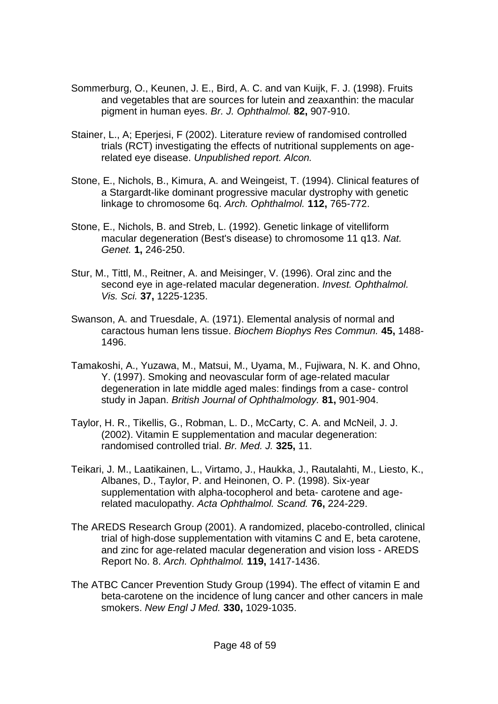- Sommerburg, O., Keunen, J. E., Bird, A. C. and van Kuijk, F. J. (1998). Fruits and vegetables that are sources for lutein and zeaxanthin: the macular pigment in human eyes. *Br. J. Ophthalmol.* **82,** 907-910.
- Stainer, L., A; Eperjesi, F (2002). Literature review of randomised controlled trials (RCT) investigating the effects of nutritional supplements on agerelated eye disease. *Unpublished report. Alcon.*
- Stone, E., Nichols, B., Kimura, A. and Weingeist, T. (1994). Clinical features of a Stargardt-like dominant progressive macular dystrophy with genetic linkage to chromosome 6q. *Arch. Ophthalmol.* **112,** 765-772.
- Stone, E., Nichols, B. and Streb, L. (1992). Genetic linkage of vitelliform macular degeneration (Best's disease) to chromosome 11 q13. *Nat. Genet.* **1,** 246-250.
- Stur, M., Tittl, M., Reitner, A. and Meisinger, V. (1996). Oral zinc and the second eye in age-related macular degeneration. *Invest. Ophthalmol. Vis. Sci.* **37,** 1225-1235.
- Swanson, A. and Truesdale, A. (1971). Elemental analysis of normal and caractous human lens tissue. *Biochem Biophys Res Commun.* **45,** 1488- 1496.
- Tamakoshi, A., Yuzawa, M., Matsui, M., Uyama, M., Fujiwara, N. K. and Ohno, Y. (1997). Smoking and neovascular form of age-related macular degeneration in late middle aged males: findings from a case- control study in Japan. *British Journal of Ophthalmology.* **81,** 901-904.
- Taylor, H. R., Tikellis, G., Robman, L. D., McCarty, C. A. and McNeil, J. J. (2002). Vitamin E supplementation and macular degeneration: randomised controlled trial. *Br. Med. J.* **325,** 11.
- Teikari, J. M., Laatikainen, L., Virtamo, J., Haukka, J., Rautalahti, M., Liesto, K., Albanes, D., Taylor, P. and Heinonen, O. P. (1998). Six-year supplementation with alpha-tocopherol and beta- carotene and agerelated maculopathy. *Acta Ophthalmol. Scand.* **76,** 224-229.
- The AREDS Research Group (2001). A randomized, placebo-controlled, clinical trial of high-dose supplementation with vitamins C and E, beta carotene, and zinc for age-related macular degeneration and vision loss - AREDS Report No. 8. *Arch. Ophthalmol.* **119,** 1417-1436.
- The ATBC Cancer Prevention Study Group (1994). The effect of vitamin E and beta-carotene on the incidence of lung cancer and other cancers in male smokers. *New Engl J Med.* **330,** 1029-1035.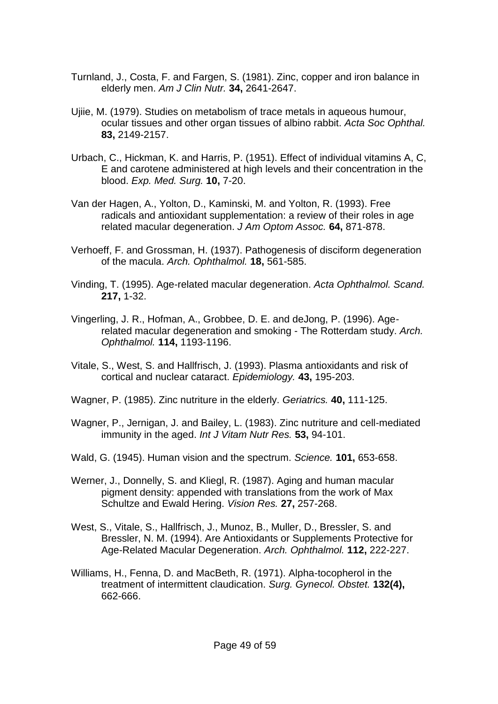- Turnland, J., Costa, F. and Fargen, S. (1981). Zinc, copper and iron balance in elderly men. *Am J Clin Nutr.* **34,** 2641-2647.
- Ujiie, M. (1979). Studies on metabolism of trace metals in aqueous humour, ocular tissues and other organ tissues of albino rabbit. *Acta Soc Ophthal.* **83,** 2149-2157.
- Urbach, C., Hickman, K. and Harris, P. (1951). Effect of individual vitamins A, C, E and carotene administered at high levels and their concentration in the blood. *Exp. Med. Surg.* **10,** 7-20.
- Van der Hagen, A., Yolton, D., Kaminski, M. and Yolton, R. (1993). Free radicals and antioxidant supplementation: a review of their roles in age related macular degeneration. *J Am Optom Assoc.* **64,** 871-878.
- Verhoeff, F. and Grossman, H. (1937). Pathogenesis of disciform degeneration of the macula. *Arch. Ophthalmol.* **18,** 561-585.
- Vinding, T. (1995). Age-related macular degeneration. *Acta Ophthalmol. Scand.* **217,** 1-32.
- Vingerling, J. R., Hofman, A., Grobbee, D. E. and deJong, P. (1996). Agerelated macular degeneration and smoking - The Rotterdam study. *Arch. Ophthalmol.* **114,** 1193-1196.
- Vitale, S., West, S. and Hallfrisch, J. (1993). Plasma antioxidants and risk of cortical and nuclear cataract. *Epidemiology.* **43,** 195-203.
- Wagner, P. (1985). Zinc nutriture in the elderly. *Geriatrics.* **40,** 111-125.
- Wagner, P., Jernigan, J. and Bailey, L. (1983). Zinc nutriture and cell-mediated immunity in the aged. *Int J Vitam Nutr Res.* **53,** 94-101.
- Wald, G. (1945). Human vision and the spectrum. *Science.* **101,** 653-658.
- Werner, J., Donnelly, S. and Kliegl, R. (1987). Aging and human macular pigment density: appended with translations from the work of Max Schultze and Ewald Hering. *Vision Res.* **27,** 257-268.
- West, S., Vitale, S., Hallfrisch, J., Munoz, B., Muller, D., Bressler, S. and Bressler, N. M. (1994). Are Antioxidants or Supplements Protective for Age-Related Macular Degeneration. *Arch. Ophthalmol.* **112,** 222-227.
- Williams, H., Fenna, D. and MacBeth, R. (1971). Alpha-tocopherol in the treatment of intermittent claudication. *Surg. Gynecol. Obstet.* **132(4),** 662-666.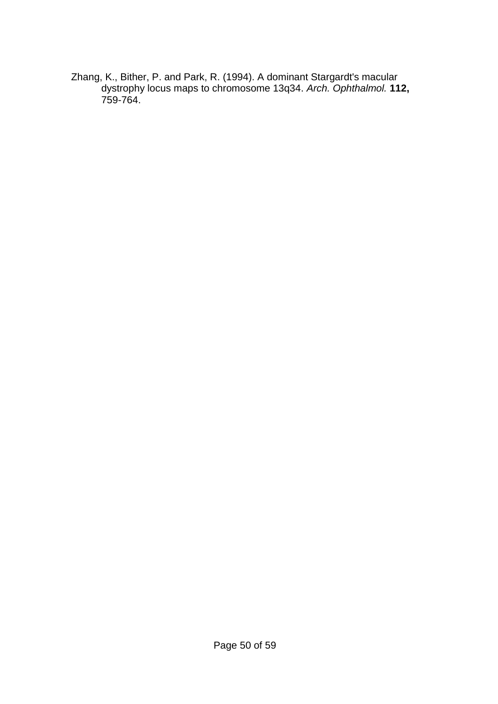Zhang, K., Bither, P. and Park, R. (1994). A dominant Stargardt's macular dystrophy locus maps to chromosome 13q34. *Arch. Ophthalmol.* **112,** 759-764.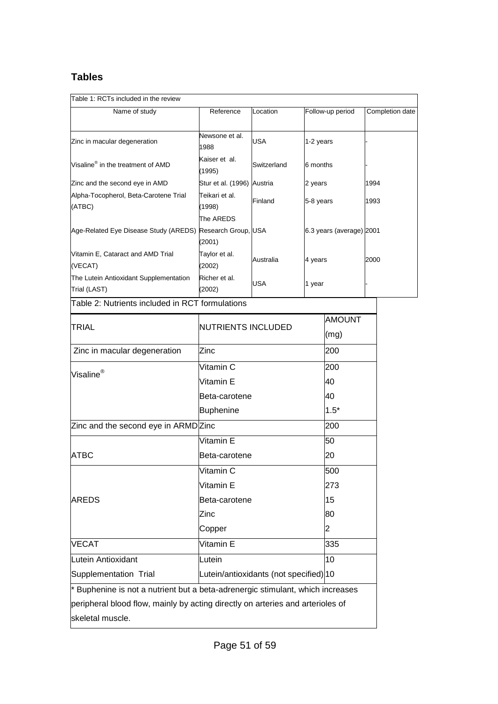# **Tables**

Table 1: RCTs included in the review

| able 1. INC IS INCRUGUED IN LIFE TEXTER                                        |                                        |             |           |                          |      |                 |
|--------------------------------------------------------------------------------|----------------------------------------|-------------|-----------|--------------------------|------|-----------------|
| Name of study                                                                  | Reference                              | Location    |           | Follow-up period         |      | Completion date |
| Zinc in macular degeneration                                                   | Newsone et al.<br>1988                 | <b>USA</b>  | 1-2 years |                          |      |                 |
| Visaline® in the treatment of AMD                                              | Kaiser et al.<br>(1995)                | Switzerland | 6 months  |                          |      |                 |
| Zinc and the second eye in AMD                                                 | Stur et al. (1996) Austria             |             | 2 years   |                          | 1994 |                 |
| Alpha-Tocopherol, Beta-Carotene Trial<br>(ATBC)                                | Teikari et al.<br>(1998)               | Finland     | 5-8 years |                          | 1993 |                 |
|                                                                                | The AREDS                              |             |           |                          |      |                 |
| Age-Related Eye Disease Study (AREDS) Research Group, USA                      | (2001)                                 |             |           | 6.3 years (average) 2001 |      |                 |
| Vitamin E, Cataract and AMD Trial<br>(VECAT)                                   | Taylor et al.<br>(2002)                | Australia   | 4 years   |                          | 2000 |                 |
| The Lutein Antioxidant Supplementation<br>Trial (LAST)                         | Richer et al.<br>(2002)                | <b>USA</b>  | 1 year    |                          |      |                 |
| Table 2: Nutrients included in RCT formulations                                |                                        |             |           |                          |      |                 |
|                                                                                |                                        |             |           | <b>AMOUNT</b>            |      |                 |
| TRIAL                                                                          | NUTRIENTS INCLUDED                     |             |           | (mg)                     |      |                 |
| Zinc in macular degeneration                                                   | Zinc                                   |             |           | 200                      |      |                 |
| Visaline®                                                                      | Vitamin C                              |             |           | 200                      |      |                 |
|                                                                                | Vitamin E                              |             |           | 40                       |      |                 |
|                                                                                | Beta-carotene                          |             |           | 40                       |      |                 |
|                                                                                | <b>Buphenine</b>                       |             |           | $1.5*$                   |      |                 |
| Zinc and the second eye in ARMD Zinc                                           |                                        |             |           | 200                      |      |                 |
|                                                                                | Vitamin E                              |             |           | 50                       |      |                 |
| <b>ATBC</b>                                                                    | Beta-carotene                          |             |           | 20                       |      |                 |
|                                                                                | Vitamin C                              |             |           | 500                      |      |                 |
|                                                                                | Vitamin E                              |             |           | 273                      |      |                 |
| <b>AREDS</b>                                                                   | Beta-carotene                          |             |           | 15                       |      |                 |
|                                                                                | Zinc                                   |             |           | 80                       |      |                 |
|                                                                                | Copper                                 |             |           | $\overline{2}$           |      |                 |
| <b>VECAT</b>                                                                   | Vitamin E                              |             |           | 335                      |      |                 |
| Lutein Antioxidant                                                             | Lutein                                 |             |           | 10                       |      |                 |
| Supplementation Trial                                                          | Lutein/antioxidants (not specified) 10 |             |           |                          |      |                 |
| * Buphenine is not a nutrient but a beta-adrenergic stimulant, which increases |                                        |             |           |                          |      |                 |
| peripheral blood flow, mainly by acting directly on arteries and arterioles of |                                        |             |           |                          |      |                 |
| skeletal muscle.                                                               |                                        |             |           |                          |      |                 |
|                                                                                |                                        |             |           |                          |      |                 |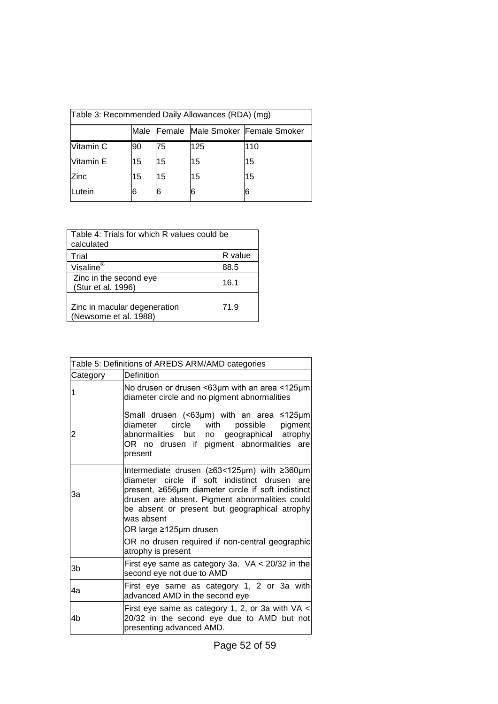| [Table 3: Recommended Daily Allowances (RDA) (mg) |      |    |     |                                  |
|---------------------------------------------------|------|----|-----|----------------------------------|
|                                                   | Male |    |     | Female Male Smoker Female Smoker |
| Vitamin C                                         | 90   | 75 | 125 | 110                              |
| Vitamin E                                         | 15   | 15 | 15  | 15                               |
| Zinc                                              | 15   | 15 | 15  | 15                               |
| Lutein                                            | 6    | 6  | 6   | 6                                |

| Table 4: Trials for which R values could be<br>calculated |         |  |
|-----------------------------------------------------------|---------|--|
| Trial                                                     | R value |  |
| Visaline <sup>®</sup>                                     | 88.5    |  |
| Zinc in the second eye<br>(Stur et al. 1996)              | 16.1    |  |
| Zinc in macular degeneration<br>(Newsome et al. 1988)     | 71.9    |  |

| Table 5: Definitions of AREDS ARM/AMD categories |                                                                                                                                                                                                                                                                                                                                                                        |  |  |
|--------------------------------------------------|------------------------------------------------------------------------------------------------------------------------------------------------------------------------------------------------------------------------------------------------------------------------------------------------------------------------------------------------------------------------|--|--|
| Category                                         | Definition                                                                                                                                                                                                                                                                                                                                                             |  |  |
| 1                                                | No drusen or drusen <63µm with an area <125µm<br>diameter circle and no pigment abnormalities                                                                                                                                                                                                                                                                          |  |  |
| 2                                                | Small drusen (<63µm) with an area $\leq$ 125µm<br>circle with<br>possible pigment<br>diameter<br>abnormalities but no geographical atrophy<br>OR no drusen if pigment abnormalities are<br>present                                                                                                                                                                     |  |  |
| За                                               | Intermediate drusen (≥63<125µm) with ≥360µm<br>diameter circle if soft indistinct drusen are<br>present, ≥656µm diameter circle if soft indistinct<br>drusen are absent. Pigment abnormalities could<br>be absent or present but geographical atrophy<br>was absent<br>OR large ≥125µm drusen<br>OR no drusen required if non-central geographic<br>atrophy is present |  |  |
| 3b                                               | First eye same as category 3a. $VA < 20/32$ in the<br>second eye not due to AMD                                                                                                                                                                                                                                                                                        |  |  |
| 4a                                               | First eye same as category 1, 2 or 3a with<br>advanced AMD in the second eye                                                                                                                                                                                                                                                                                           |  |  |
| 4b                                               | First eye same as category 1, 2, or 3a with VA $\lt$<br>20/32 in the second eye due to AMD but not<br>presenting advanced AMD.                                                                                                                                                                                                                                         |  |  |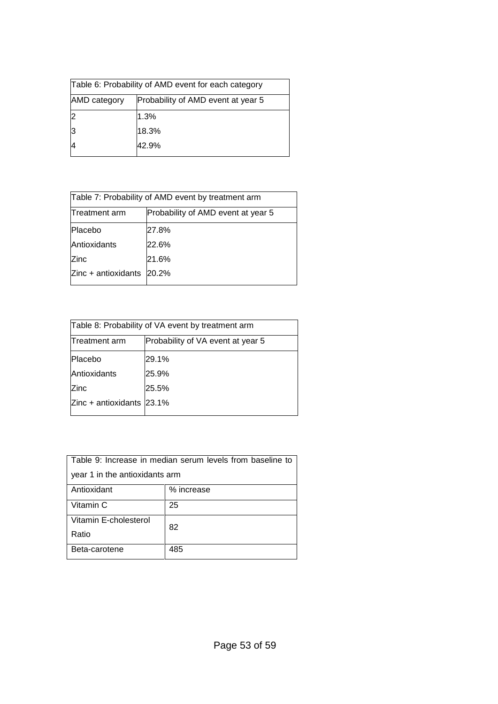| Table 6: Probability of AMD event for each category |                                    |  |
|-----------------------------------------------------|------------------------------------|--|
| AMD category                                        | Probability of AMD event at year 5 |  |
| 2                                                   | 1.3%                               |  |
| 13                                                  | 18.3%                              |  |
| 14                                                  | 42.9%                              |  |
|                                                     |                                    |  |

| Table 7: Probability of AMD event by treatment arm |                                    |  |
|----------------------------------------------------|------------------------------------|--|
| Treatment arm                                      | Probability of AMD event at year 5 |  |
| lPlacebo                                           | 27.8%                              |  |
| Antioxidants                                       | 22.6%                              |  |
| Zinc                                               | 21.6%                              |  |
| $Zinc + antioxidants$                              | 20.2%                              |  |

| Table 8: Probability of VA event by treatment arm |                                   |  |
|---------------------------------------------------|-----------------------------------|--|
| Treatment arm                                     | Probability of VA event at year 5 |  |
| Placebo                                           | 29.1%                             |  |
| Antioxidants                                      | 25.9%                             |  |
| <b>Zinc</b>                                       | 25.5%                             |  |
| Zinc + antioxidants $ 23.1\% $                    |                                   |  |

| Table 9: Increase in median serum levels from baseline to |            |  |
|-----------------------------------------------------------|------------|--|
| year 1 in the antioxidants arm                            |            |  |
| Antioxidant                                               | % increase |  |
| Vitamin C                                                 | 25         |  |
| Vitamin E-cholesterol                                     | 82         |  |
| Ratio                                                     |            |  |
| Beta-carotene                                             | 485        |  |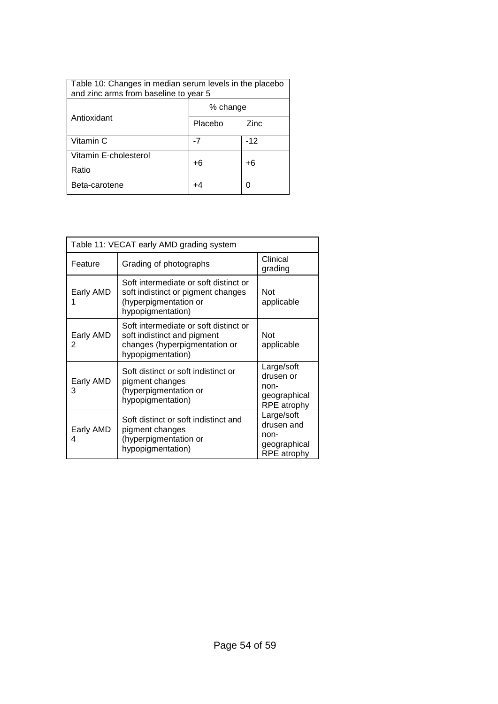| Table 10: Changes in median serum levels in the placebo<br>and zinc arms from baseline to year 5 |          |       |  |
|--------------------------------------------------------------------------------------------------|----------|-------|--|
|                                                                                                  | % change |       |  |
| Antioxidant                                                                                      | Placebo  | Zinc  |  |
| Vitamin C                                                                                        | -7       | $-12$ |  |
| Vitamin E-cholesterol<br>Ratio                                                                   | +6       | +6    |  |
| Beta-carotene                                                                                    | +4       |       |  |

| Table 11: VECAT early AMD grading system |                                                                                                                            |                                                                 |  |
|------------------------------------------|----------------------------------------------------------------------------------------------------------------------------|-----------------------------------------------------------------|--|
| Feature                                  | Grading of photographs                                                                                                     | Clinical<br>grading                                             |  |
| Early AMD                                | Soft intermediate or soft distinct or<br>soft indistinct or pigment changes<br>(hyperpigmentation or<br>hypopigmentation)  | <b>Not</b><br>applicable                                        |  |
| Early AMD<br>2                           | Soft intermediate or soft distinct or<br>soft indistinct and pigment<br>changes (hyperpigmentation or<br>hypopigmentation) | <b>Not</b><br>applicable                                        |  |
| Early AMD<br>3                           | Soft distinct or soft indistinct or<br>pigment changes<br>(hyperpigmentation or<br>hypopigmentation)                       | Large/soft<br>drusen or<br>non-<br>geographical<br>RPE atrophy  |  |
| Early AMD<br>4                           | Soft distinct or soft indistinct and<br>pigment changes<br>(hyperpigmentation or<br>hypopigmentation)                      | Large/soft<br>drusen and<br>non-<br>geographical<br>RPE atrophy |  |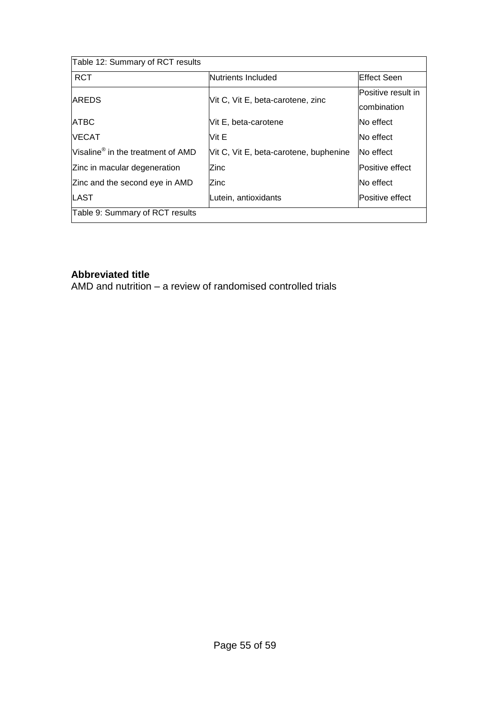| Table 12: Summary of RCT results              |                                        |                     |
|-----------------------------------------------|----------------------------------------|---------------------|
| <b>RCT</b>                                    | Nutrients Included                     | <b>IEffect Seen</b> |
| <b>AREDS</b>                                  | Vit C, Vit E, beta-carotene, zinc      | Positive result in  |
|                                               |                                        | combination         |
| <b>ATBC</b>                                   | Vit E, beta-carotene                   | <b>No effect</b>    |
| <b>NECAT</b>                                  | Vit E                                  | No effect           |
| Visaline <sup>®</sup> in the treatment of AMD | Vit C, Vit E, beta-carotene, buphenine | No effect           |
| Zinc in macular degeneration                  | Zinc                                   | Positive effect     |
| Zinc and the second eye in AMD                | lZinc                                  | No effect           |
| <b>LAST</b>                                   | Lutein, antioxidants                   | Positive effect     |
| Table 9: Summary of RCT results               |                                        |                     |

# **Abbreviated title**

AMD and nutrition – a review of randomised controlled trials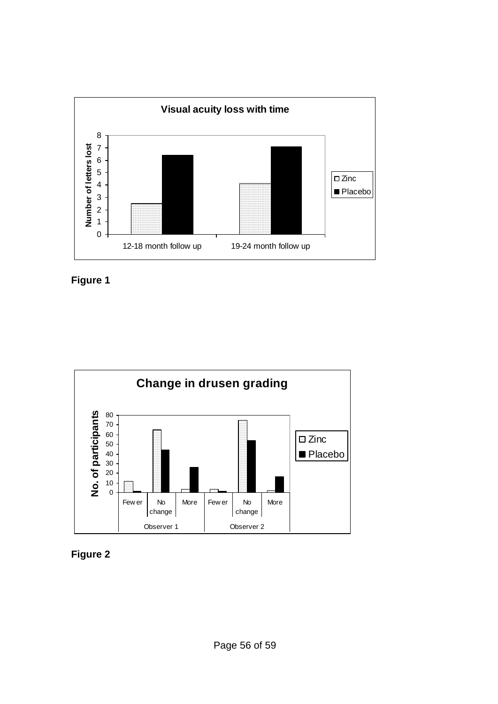





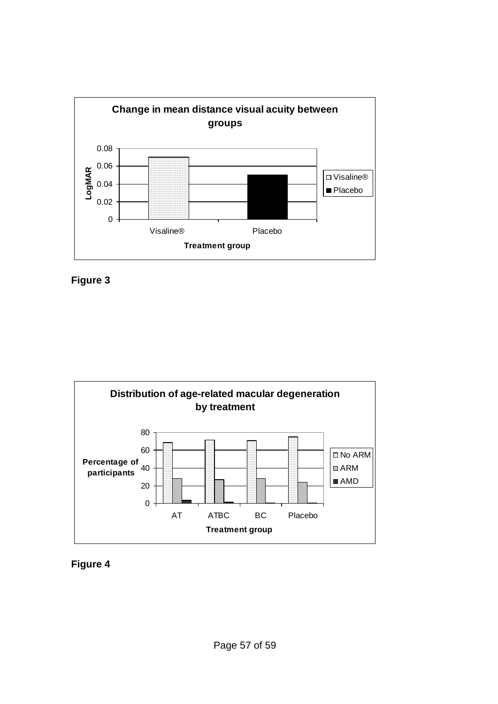





**Figure 4**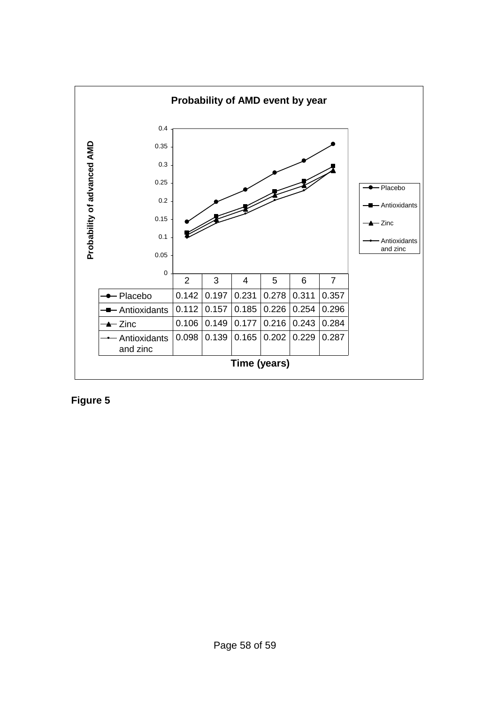

**Figure 5**